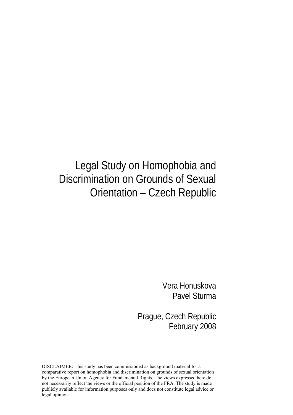# Legal Study on Homophobia and Discrimination on Grounds of Sexual Orientation – Czech Republic

Vera Honuskova Pavel Sturma

Prague, Czech Republic February 2008

DISCLAIMER: This study has been commissioned as background material for a comparative report on homophobia and discrimination on grounds of sexual orientation by the European Union Agency for Fundamental Rights. The views expressed here do not necessarily reflect the views or the official position of the FRA. The study is made publicly available for information purposes only and does not constitute legal advice or legal opinion.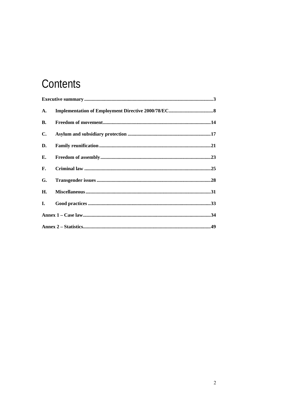# Contents

| A.        |  |  |
|-----------|--|--|
| <b>B.</b> |  |  |
| C.        |  |  |
| D.        |  |  |
| Е.        |  |  |
| F.        |  |  |
| G.        |  |  |
| H.        |  |  |
| I.        |  |  |
|           |  |  |
|           |  |  |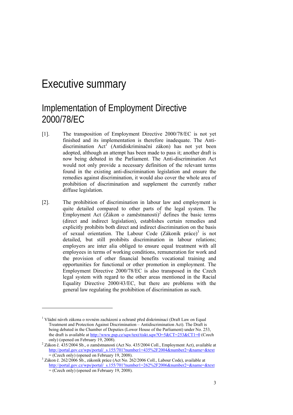## Executive summary

1

## Implementation of Employment Directive 2000/78/EC

- [1]. The transposition of Employment Directive 2000/78/EC is not yet finished and its implementation is therefore inadequate. The Antidiscrimination Act<sup>1</sup> (Antidiskriminační zákon) has not yet been adopted, although an attempt has been made to pass it; another draft is now being debated in the Parliament. The Anti-discrimination Act would not only provide a necessary definition of the relevant terms found in the existing anti-discrimination legislation and ensure the remedies against discrimination, it would also cover the whole area of prohibition of discrimination and supplement the currently rather diffuse legislation.
- [2]. The prohibition of discrimination in labour law and employment is quite detailed compared to other parts of the legal system. The Employment Act ( $\overline{Z}$ ákon o zaměstnanosti)<sup>2</sup> defines the basic terms (direct and indirect legislation), establishes certain remedies and explicitly prohibits both direct and indirect discrimination on the basis of sexual orientation. The Labour Code (Zákoník práce)<sup>3</sup> is not detailed, but still prohibits discrimination in labour relations; employers are inter alia obliged to ensure equal treatment with all employees in terms of working conditions, remuneration for work and the provision of other financial benefits vocational training and opportunities for functional or other promotion in employment. The Employment Directive 2000/78/EC is also transposed in the Czech legal system with regard to the other areas mentioned in the Racial Equality Directive 2000/43/EC, but there are problems with the general law regulating the prohibition of discrimination as such.

<sup>&</sup>lt;sup>1</sup> Vládní návrh zákona o rovném zacházení a ochraně před diskriminací (Draft Law on Equal Treatment and Protection Against Discrimination – Antidiscrimination Act). The Draft is being debated in the Chamber of Deputies (Lower House of the Parliament) under No. 253, the draft is available at http://www.psp.cz/sqw/text/tiskt.sqw?O=5&CT=253&CT1=0 (Czech only) (opened on February 19, 2008).

 $2$  Zákon č. 435/2004 Sb., o zaměstnanosti (Act No. 435/2004 Coll., Employment Act), available at http://portal.gov.cz/wps/portal/\_s.155/701?number1=435%2F2004&number2=&name=&text  $=$  (Czech only) (opened on February 19, 2008).

<sup>&</sup>lt;sup>3</sup> Zákon č. 262/2006 Sb., zákoník práce (Act No. 262/2006 Coll., Labour Code), available at http://portal.gov.cz/wps/portal/\_s.155/701?number1=262%2F2006&number2=&name=&text = (Czech only) (opened on February 19, 2008).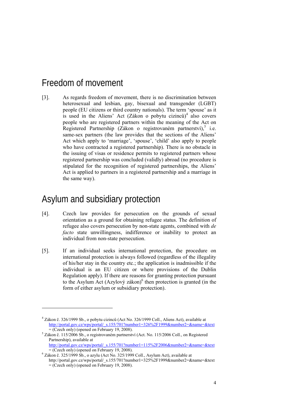## Freedom of movement

[3]. As regards freedom of movement, there is no discrimination between heterosexual and lesbian, gay, bisexual and transgender (LGBT) people (EU citizens or third country nationals). The term 'spouse' as it is used in the Aliens' Act (Zákon o pobytu cizinců)<sup>4</sup> also covers people who are registered partners within the meaning of the Act on Registered Partnership (Zákon o registrovaném partnerství),<sup>5</sup> i.e. same-sex partners (the law provides that the sections of the Aliens' Act which apply to 'marriage', 'spouse', 'child' also apply to people who have contracted a registered partnership). There is no obstacle in the issuing of visas or residence permits to registered partners whose registered partnership was concluded (validly) abroad (no procedure is stipulated for the recognition of registered partnerships, the Aliens' Act is applied to partners in a registered partnership and a marriage in the same way).

## Asylum and subsidiary protection

1

- [4]. Czech law provides for persecution on the grounds of sexual orientation as a ground for obtaining refugee status. The definition of refugee also covers persecution by non-state agents, combined with *de facto* state unwillingness, indifference or inability to protect an individual from non-state persecution.
- [5]. If an individual seeks international protection, the procedure on international protection is always followed (regardless of the illegality of his/her stay in the country etc.; the application is inadmissible if the individual is an EU citizen or where provisions of the Dublin Regulation apply). If there are reasons for granting protection pursuant to the Asylum Act (Azylový zákon)<sup>6</sup> then protection is granted (in the form of either asylum or subsidiary protection).

<sup>&</sup>lt;sup>4</sup> Zákon č. 326/1999 Sb., o pobytu cizinců (Act No. 326/1999 Coll., Aliens Act), available at http://portal.gov.cz/wps/portal/\_s.155/701?number1=326%2F1999&number2=&name=&text  $=$  (Czech only) (opened on February 19, 2008).

 $5$  Zákon č. 115/2006 Sb., o registrovaném partnerství (Act. No. 115/2006 Coll., on Registered Partnership), available at

http://portal.gov.cz/wps/portal/\_s.155/701?number1=115%2F2006&number2=&name=&text  $=$  (Czech only) (opened on February 19, 2008).

 $6$  Zákon č. 325/1999 Sb., o azylu (Act No. 325/1999 Coll., Asylum Act), available at http://portal.gov.cz/wps/portal/\_s.155/701?number1=325%2F1999&number2=&name=&text = (Czech only) (opened on February 19, 2008).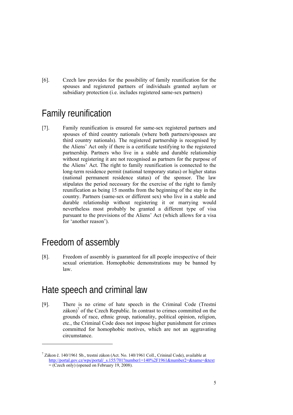[6]. Czech law provides for the possibility of family reunification for the spouses and registered partners of individuals granted asylum or subsidiary protection (i.e. includes registered same-sex partners)

## Family reunification

[7]. Family reunification is ensured for same-sex registered partners and spouses of third country nationals (where both partners/spouses are third country nationals). The registered partnership is recognised by the Aliens' Act only if there is a certificate testifying to the registered partnership. Partners who live in a stable and durable relationship without registering it are not recognised as partners for the purpose of the Aliens' Act. The right to family reunification is connected to the long-term residence permit (national temporary status) or higher status (national permanent residence status) of the sponsor. The law stipulates the period necessary for the exercise of the right to family reunification as being 15 months from the beginning of the stay in the country. Partners (same-sex or different sex) who live in a stable and durable relationship without registering it or marrying would nevertheless most probably be granted a different type of visa pursuant to the provisions of the Aliens' Act (which allows for a visa for 'another reason').

## Freedom of assembly

1

[8]. Freedom of assembly is guaranteed for all people irrespective of their sexual orientation. Homophobic demonstrations may be banned by law.

## Hate speech and criminal law

[9]. There is no crime of hate speech in the Criminal Code (Trestní zákon) $\int$  of the Czech Republic. In contrast to crimes committed on the grounds of race, ethnic group, nationality, political opinion, religion, etc., the Criminal Code does not impose higher punishment for crimes committed for homophobic motives, which are not an aggravating circumstance.

 $^7$  Zákon č. 140/1961 Sb., trestní zákon (Act. No. 140/1961 Coll., Crininal Code), available at http://portal.gov.cz/wps/portal/\_s.155/701?number1=140%2F1961&number2=&name=&text = (Czech only) (opened on February 19, 2008).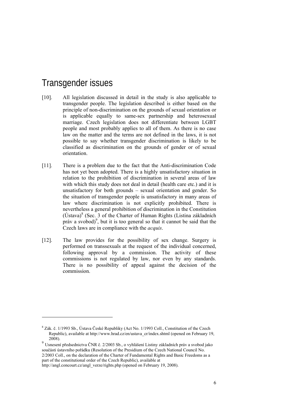## Transgender issues

- [10]. All legislation discussed in detail in the study is also applicable to transgender people. The legislation described is either based on the principle of non-discrimination on the grounds of sexual orientation or is applicable equally to same-sex partnership and heterosexual marriage. Czech legislation does not differentiate between LGBT people and most probably applies to all of them. As there is no case law on the matter and the terms are not defined in the laws, it is not possible to say whether transgender discrimination is likely to be classified as discrimination on the grounds of gender or of sexual orientation.
- [11]. There is a problem due to the fact that the Anti-discrimination Code has not yet been adopted. There is a highly unsatisfactory situation in relation to the prohibition of discrimination in several areas of law with which this study does not deal in detail (health care etc.) and it is unsatisfactory for both grounds – sexual orientation and gender. So the situation of transgender people is unsatisfactory in many areas of law where discrimination is not explicitly prohibited. There is nevertheless a general prohibition of discrimination in the Constitution  $(U$ stava)<sup>8</sup> (Sec. 3 of the Charter of Human Rights (Listina základních práv a svobod)<sup>9</sup>, but it is too general so that it cannot be said that the Czech laws are in compliance with the *acquis*.
- [12]. The law provides for the possibility of sex change. Surgery is performed on transsexuals at the request of the individual concerned, following approval by a commission. The activity of these commissions is not regulated by law, nor even by any standards. There is no possibility of appeal against the decision of the commission.

1

<sup>&</sup>lt;sup>8</sup> Zák. č. 1/1993 Sb., Ústava České Republiky (Act No. 1/1993 Coll., Constitution of the Czech Republic), available at http://www.hrad.cz/en/ustava\_cr/index.shtml (opened on February 19, 2008).

 $^{9}$  Usnesení předsednictva ČNR č. 2/2003 Sb., o vyhlášení Listiny základních práv a svobod jako součásti ústavního pořádku (Resolution of the Presidium of the Czech National Council No. 2/2003 Coll., on the declaration of the Charter of Fundamental Rights and Basic Freedoms as a part of the constitutional order of the Czech Republic), available at

http://angl.concourt.cz/angl\_verze/rights.php (opened on February 19, 2008).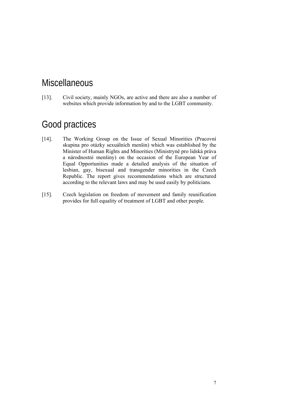## **Miscellaneous**

[13]. Civil society, mainly NGOs, are active and there are also a number of websites which provide information by and to the LGBT community.

## Good practices

- [14]. The Working Group on the Issue of Sexual Minorities (Pracovní skupina pro otázky sexuálních menšin) which was established by the Minister of Human Rights and Minorities (Ministryně pro lidská práva a národnostní menšiny) on the occasion of the European Year of Equal Opportunities made a detailed analysis of the situation of lesbian, gay, bisexual and transgender minorities in the Czech Republic. The report gives recommendations which are structured according to the relevant laws and may be used easily by politicians.
- [15]. Czech legislation on freedom of movement and family reunification provides for full equality of treatment of LGBT and other people.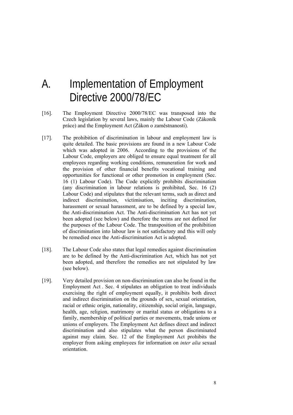# A. Implementation of Employment Directive 2000/78/EC

- [16]. The Employment Directive 2000/78/EC was transposed into the Czech legislation by several laws, mainly the Labour Code (Zákoník práce) and the Employment Act (Zákon o zaměstnanosti).
- [17]. The prohibition of discrimination in labour and employment law is quite detailed. The basic provisions are found in a new Labour Code which was adopted in 2006. According to the provisions of the Labour Code, employers are obliged to ensure equal treatment for all employees regarding working conditions, remuneration for work and the provision of other financial benefits vocational training and opportunities for functional or other promotion in employment (Sec. 16 (1) Labour Code). The Code explicitly prohibits discrimination (any discrimination in labour relations is prohibited, Sec. 16 (2) Labour Code) and stipulates that the relevant terms, such as direct and indirect discrimination, victimisation, inciting discrimination, harassment or sexual harassment, are to be defined by a special law, the Anti-discrimination Act. The Anti-discrimination Act has not yet been adopted (see below) and therefore the terms are not defined for the purposes of the Labour Code. The transposition of the prohibition of discrimination into labour law is not satisfactory and this will only be remedied once the Anti-discrimination Act is adopted.
- [18]. The Labour Code also states that legal remedies against discrimination are to be defined by the Anti-discrimination Act, which has not yet been adopted, and therefore the remedies are not stipulated by law (see below).
- [19]. Very detailed provision on non-discrimination can also be found in the Employment Act . Sec. 4 stipulates an obligation to treat individuals exercising the right of employment equally, it prohibits both direct and indirect discrimination on the grounds of sex, sexual orientation, racial or ethnic origin, nationality, citizenship, social origin, language, health, age, religion, matrimony or marital status or obligations to a family, membership of political parties or movements, trade unions or unions of employers. The Employment Act defines direct and indirect discrimination and also stipulates what the person discriminated against may claim. Sec. 12 of the Employment Act prohibits the employer from asking employees for information on *inter alia* sexual orientation.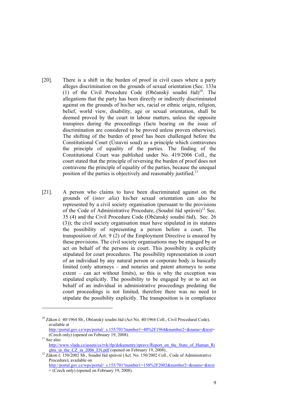- [20]. There is a shift in the burden of proof in civil cases where a party alleges discrimination on the grounds of sexual orientation (Sec. 133a (1) of the Civil Procedure Code (Občanský soudní řád)<sup>10</sup>. The allegations that the party has been directly or indirectly discriminated against on the grounds of his/her sex, racial or ethnic origin, religion, belief, world view, disability, age or sexual orientation, shall be deemed proved by the court in labour matters, unless the opposite transpires during the proceedings (facts bearing on the issue of discrimination are considered to be proved unless proven otherwise). The shifting of the burden of proof has been challenged before the Constitutional Court (Ústavní soud) as a principle which contravenes the principle of equality of the parties. The finding of the Constitutional Court was published under No. 419/2006 Coll., the court stated that the principle of reversing the burden of proof does not contravene the principle of equality of the parties, because the unequal position of the parties is objectively and reasonably justified.<sup>11</sup>
- [21]. A person who claims to have been discriminated against on the grounds of (*inter alia*) his/her sexual orientation can also be represented by a civil society organisation (pursuant to the provisions of the Code of Administrative Procedure, (Soudní řád správní) $^{12}$  Sec. 35 (4) and the Civil Procedure Code (Občanský soudní řád), Sec. 26 (3)); the civil society organisation must have stipulated in its statutes the possibility of representing a person before a court. The transposition of Art. 9 (2) of the Employment Directive is ensured by these provisions. The civil society organisations may be engaged by or act on behalf of the persons in court. This possibility is explicitly stipulated for court procedures. The possibility representation in court of an individual by any natural person or corporate body is basically limited (only attorneys – and notaries and patent attorneys to some extent – can act without limits), so this is why the exception was stipulated explicitly. The possibility to be engaged by or to act on behalf of an individual in administrative proceedings predating the court proceedings is not limited, therefore there was no need to stipulate the possibility explicitly. The transposition is in compliance

1

<sup>&</sup>lt;sup>10</sup> Zákon č. 40/1964 Sb., Občanský soudní řád (Act No. 40/1964 Coll., Civil Procedural Code), available at

http://portal.gov.cz/wps/portal/\_s.155/701?number1=40%2F1964&number2=&name=&text= (Czech only) (opened on February 19, 2008). 11 See also

http://www.ylada.cz/assets/cs/rvk/rlp/dokumenty/zpravy/Report\_on\_the\_State\_of\_Human\_Ri

ghts\_in\_the\_CZ\_in\_2006\_EN.pdf (opened on February 19, 2008).. 12 Zákon č. 150/2002 Sb., Soudní řád správní (Act. No. 150/2002 Coll., Code of Administrative Procedure), available on

http://portal.gov.cz/wps/portal/\_s.155/701?number1=150%2F2002&number2=&name=&text = (Czech only) (opened on February 19, 2008).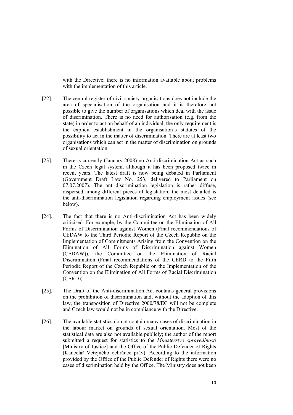with the Directive; there is no information available about problems with the implementation of this article.

- [22]. The central register of civil society organisations does not include the area of specialisation of the organisation and it is therefore not possible to give the number of organisations which deal with the issue of discrimination. There is no need for authorisation (e.g. from the state) in order to act on behalf of an individual, the only requirement is the explicit establishment in the organisation's statutes of the possibility to act in the matter of discrimination. There are at least two organisations which can act in the matter of discrimination on grounds of sexual orientation.
- [23]. There is currently (January 2008) no Anti-discrimination Act as such in the Czech legal system, although it has been proposed twice in recent years. The latest draft is now being debated in Parliament (Government Draft Law No. 253, delivered to Parliament on 07.07.2007). The anti-discrimination legislation is rather diffuse, dispersed among different pieces of legislation; the most detailed is the anti-discrimination legislation regarding employment issues (see below).
- [24]. The fact that there is no Anti-discrimination Act has been widely criticised. For example, by the Committee on the Elimination of All Forms of Discrimination against Women (Final recommendations of CEDAW to the Third Periodic Report of the Czech Republic on the Implementation of Commitments Arising from the Convention on the Elimination of All Forms of Discrimination against Women (CEDAW)), the Committee on the Elimination of Racial Discrimination (Final recommendations of the CERD to the Fifth Periodic Report of the Czech Republic on the Implementation of the Convention on the Elimination of All Forms of Racial Discrimination (CERD)).
- [25]. The Draft of the Anti-discrimination Act contains general provisions on the prohibition of discrimination and, without the adoption of this law, the transposition of Directive 2000/78/EC will not be complete and Czech law would not be in compliance with the Directive.
- [26]. The available statistics do not contain many cases of discrimination in the labour market on grounds of sexual orientation. Most of the statistical data are also not available publicly; the author of the report submitted a request for statistics to the *Ministerstvo spravedlnosti* [Ministry of Justice] and the Office of the Public Defender of Rights (Kancelář Veřejného ochránce práv). According to the information provided by the Office of the Public Defender of Rights there were no cases of discrimination held by the Office. The Ministry does not keep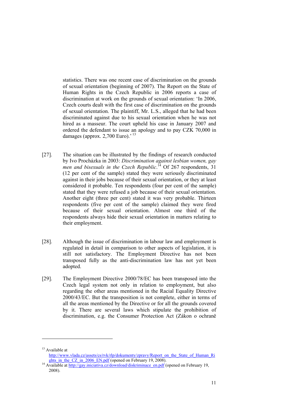statistics. There was one recent case of discrimination on the grounds of sexual orientation (beginning of 2007). The Report on the State of Human Rights in the Czech Republic in 2006 reports a case of discrimination at work on the grounds of sexual orientation: 'In 2006, Czech courts dealt with the first case of discrimination on the grounds of sexual orientation. The plaintiff, Mr. L.S., alleged that he had been discriminated against due to his sexual orientation when he was not hired as a masseur. The court upheld his case in January 2007 and ordered the defendant to issue an apology and to pay CZK 70,000 in damages (approx.  $2,700$  Euro).<sup>'13</sup>

- [27]. The situation can be illustrated by the findings of research conducted by Ivo Procházka in 2003: *Discrimination against lesbian women, gay*  men and bisexuals in the Czech Republic.<sup>14</sup> Of 267 respondents, 31 (12 per cent of the sample) stated they were seriously discriminated against in their jobs because of their sexual orientation, or they at least considered it probable. Ten respondents (four per cent of the sample) stated that they were refused a job because of their sexual orientation. Another eight (three per cent) stated it was very probable. Thirteen respondents (five per cent of the sample) claimed they were fired because of their sexual orientation. Almost one third of the respondents always hide their sexual orientation in matters relating to their employment.
- [28]. Although the issue of discrimination in labour law and employment is regulated in detail in comparison to other aspects of legislation, it is still not satisfactory. The Employment Directive has not been transposed fully as the anti-discrimination law has not yet been adopted.
- [29]. The Employment Directive 2000/78/EC has been transposed into the Czech legal system not only in relation to employment, but also regarding the other areas mentioned in the Racial Equality Directive 2000/43/EC. But the transposition is not complete, either in terms of all the areas mentioned by the Directive or for all the grounds covered by it. There are several laws which stipulate the prohibition of discrimination, e.g. the Consumer Protection Act (Zákon o ochraně

-

<sup>&</sup>lt;sup>13</sup> Available at

http://www.vlada.cz/assets/cs/rvk/rlp/dokumenty/zpravy/Report\_on\_the\_State\_of\_Human\_Ri\_<br>ghts\_in\_the\_CZ\_in\_2006\_EN.pdf (opened on February 19, 2008).

<sup>&</sup>lt;sup>14</sup> Available at http://gay.iniciativa.cz/download/diskriminace\_en.pdf (opened on February 19, 2008).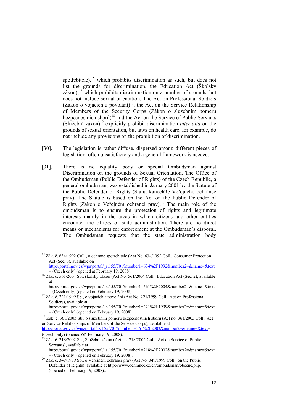spotřebitele),<sup>15</sup> which prohibits discrimination as such, but does not list the grounds for discrimination, the Education Act (Školský zákon),  $16$  which prohibits discrimination on a number of grounds, but does not include sexual orientation, The Act on Professional Soldiers (Zákon o vojácích z povolání) $17$ , the Act on the Service Relationship of Members of the Security Corps (Zákon o služebním poměru bezpečnostních sborů) 18 and the Act on the Service of Public Servants (Služební zákon)<sup>19</sup> explicitly prohibit discrimination *inter alia* on the grounds of sexual orientation, but laws on health care, for example, do not include any provisions on the prohibition of discrimination.

- [30]. The legislation is rather diffuse, dispersed among different pieces of legislation, often unsatisfactory and a general framework is needed.
- [31]. There is no equality body or special Ombudsman against Discrimination on the grounds of Sexual Orientation. The Office of the Ombudsman (Public Defender of Rights) of the Czech Republic, a general ombudsman, was established in January 2001 by the Statute of the Public Defender of Rights (Statut kanceláře Veřejného ochránce práv). The Statute is based on the Act on the Public Defender of Rights (Zákon o Veřejném ochránci práv).<sup>20</sup> The main role of the ombudsman is to ensure the protection of rights and legitimate interests mainly in the areas in which citizens and other entities encounter the offices of state administration. There are no direct means or mechanisms for enforcement at the Ombudsman's disposal. The Ombudsman requests that the state administration body

1

<sup>&</sup>lt;sup>15</sup> Zák. č. 634/1992 Coll., o ochraně spotřebitele (Act No. 634/1992 Coll., Consumer Protection Act (Sec. 6), available on

http://portal.gov.cz/wps/portal/\_s.155/701?number1=634%2F1992&number2=&name=&text  $=$  (Czech only) (opened at February 19, 2008). <sup>16</sup> Zák. č. 561/2004 Sb., školský zákon (Act No. 561/2004 Coll., Education Act (Sec. 2), available

at

http://portal.gov.cz/wps/portal/\_s.155/701?number1=561%2F2004&number2=&name=&text  $=$  (Czech only) (opened on February 19, 2008)<br><sup>17</sup> Zák. č. 221/1999 Sb., o vojácích z povolání (Act No. 221/1999 Coll., Act on Professional

Soldiers), available at

http://portal.gov.cz/wps/portal/\_s.155/701?number1=221%2F1999&number2=&name=&text = (Czech only) (opened on February 19, 2008).

<sup>18</sup> Zák. č. 361/2003 Sb., o služebním poměru bezpečnostních sborů (Act no. 361/2003 Coll., Act on Service Relationships of Members of the Service Corps), available at

http://portal.gov.cz/wps/portal/\_s.155/701?number1=361%2F2003&number2=&name=&text=<br>(Czech only) (opened on February 19, 2008).

 $^{19}$  Zák. č. 218/2002 Sb., Služební zákon (Act no. 218/2002 Coll., Act on Service of Public Servants), available at

http://portal.gov.cz/wps/portal/\_s.155/701?number1=218%2F2002&number2=&name=&text  $=$  (Czech only) (opened on February 19, 2008). <sup>20</sup> Zák. č. 349/1999 Coll., on the Public <sup>20</sup> Zák. č. 349/1999 Sb., o Veřejném ochránci práv (Act No. 349/1999 Coll., on the Public

Defender of Rights), available at http://www.ochrance.cz/en/ombudsman/obecne.php. (opened on February 19, 2008)..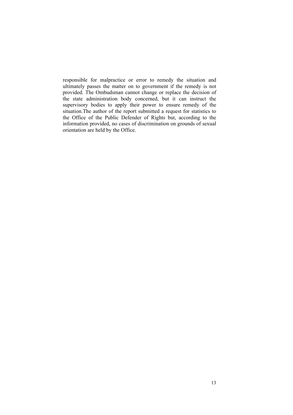responsible for malpractice or error to remedy the situation and ultimately passes the matter on to government if the remedy is not provided. The Ombudsman cannot change or replace the decision of the state administration body concerned, but it can instruct the supervisory bodies to apply their power to ensure remedy of the situation.The author of the report submitted a request for statistics to the Office of the Public Defender of Rights but, according to the information provided, no cases of discrimination on grounds of sexual orientation are held by the Office.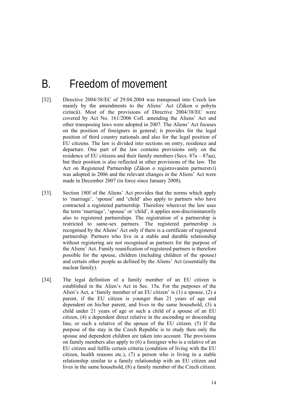## B. Freedom of movement

- [32]. Directive 2004/38/EC of 29.04.2004 was transposed into Czech law mainly by the amendments to the Aliens' Act (Zákon o pobytu cizinců). Most of the provisions of Directive 2004/38/EC were covered by Act No. 161/2006 Coll. amending the Aliens' Act and other transposing laws were adopted in 2007. The Aliens' Act focuses on the position of foreigners in general; it provides for the legal position of third country nationals and also for the legal position of EU citizens. The law is divided into sections on entry, residence and departure. One part of the law contains provisions only on the residence of EU citizens and their family members (Secs. 87a – 87aa), but their position is also reflected in other provisions of the law. The Act on Registered Partnership (Zákon o registrovaném partnerství) was adopted in 2006 and the relevant changes in the Aliens' Act were made in December 2007 (in force since January 2008).
- [33]. Section 180f of the Aliens' Act provides that the norms which apply to 'marriage', 'spouse' and 'child' also apply to partners who have contracted a registered partnership. Therefore wherever the law uses the term 'marriage', 'spouse' or 'child', it applies non-discriminatorily also to registered partnerships. The registration of a partnership is restricted to same-sex partners. The registered partnership is recognised by the Aliens' Act only if there is a certificate of registered partnership. Partners who live in a stable and durable relationship without registering are not recognised as partners for the purpose of the Aliens' Act. Family reunification of registered partners is therefore possible for the spouse, children (including children of the spouse) and certain other people as defined by the Aliens' Act (essentially the nuclear family).
- [34]. The legal definition of a family member of an EU citizen is established in the Alien's Act in Sec. 15a. For the purposes of the Alien's Act, a 'family member of an EU citizen' is (1) a spouse, (2) a parent, if the EU citizen is younger than 21 years of age and dependent on his/her parent, and lives in the same household, (3) a child under 21 years of age or such a child of a spouse of an EU citizen, (4) a dependent direct relative in the ascending or descending line, or such a relative of the spouse of the EU citizen. (5) If the purpose of the stay in the Czech Republic is to study then only the spouse and dependent children are taken into account. The provisions on family members also apply to (6) a foreigner who is a relative of an EU citizen and fulfils certain criteria (condition of living with the EU citizen, health reasons etc.), (7) a person who is living in a stable relationship similar to a family relationship with an EU citizen and lives in the same household, (8) a family member of the Czech citizen.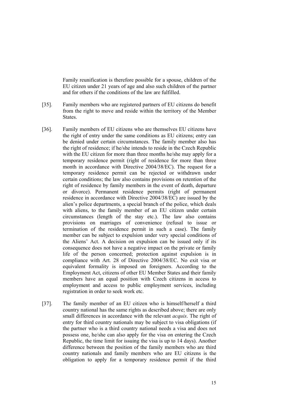Family reunification is therefore possible for a spouse, children of the EU citizen under 21 years of age and also such children of the partner and for others if the conditions of the law are fulfilled.

- [35]. Family members who are registered partners of EU citizens do benefit from the right to move and reside within the territory of the Member **States**
- [36]. Family members of EU citizens who are themselves EU citizens have the right of entry under the same conditions as EU citizens; entry can be denied under certain circumstances. The family member also has the right of residence; if he/she intends to reside in the Czech Republic with the EU citizen for more than three months he/she may apply for a temporary residence permit (right of residence for more than three month in accordance with Directive 2004/38/EC). The request for a temporary residence permit can be rejected or withdrawn under certain conditions; the law also contains provisions on retention of the right of residence by family members in the event of death, departure or divorce). Permanent residence permits (right of permanent residence in accordance with Directive 2004/38/EC) are issued by the alien's police departments, a special branch of the police, which deals with aliens, to the family member of an EU citizen under certain circumstances (length of the stay etc.). The law also contains provisions on marriages of convenience (refusal to issue or termination of the residence permit in such a case). The family member can be subject to expulsion under very special conditions of the Aliens' Act. A decision on expulsion can be issued only if its consequence does not have a negative impact on the private or family life of the person concerned; protection against expulsion is in compliance with Art. 28 of Directive 2004/38/EC. No exit visa or equivalent formality is imposed on foreigners. According to the Employment Act, citizens of other EU Member States and their family members have an equal position with Czech citizens in access to employment and access to public employment services, including registration in order to seek work etc.
- [37]. The family member of an EU citizen who is himself/herself a third country national has the same rights as described above; there are only small differences in accordance with the relevant *acquis*. The right of entry for third country nationals may be subject to visa obligations (if the partner who is a third country national needs a visa and does not possess one, he/she can also apply for the visa on entering the Czech Republic, the time limit for issuing the visa is up to 14 days). Another difference between the position of the family members who are third country nationals and family members who are EU citizens is the obligation to apply for a temporary residence permit if the third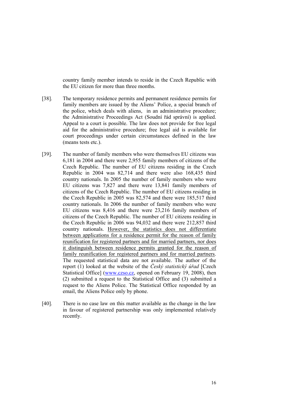country family member intends to reside in the Czech Republic with the EU citizen for more than three months.

- [38]. The temporary residence permits and permanent residence permits for family members are issued by the Aliens' Police, a special branch of the police, which deals with aliens, in an administrative procedure; the Administrative Proceedings Act (Soudní řád správní) is applied. Appeal to a court is possible. The law does not provide for free legal aid for the administrative procedure; free legal aid is available for court proceedings under certain circumstances defined in the law (means tests etc.).
- [39]. The number of family members who were themselves EU citizens was 6,181 in 2004 and there were 2,955 family members of citizens of the Czech Republic. The number of EU citizens residing in the Czech Republic in 2004 was 82,714 and there were also 168,435 third country nationals. In 2005 the number of family members who were EU citizens was 7,827 and there were 13,841 family members of citizens of the Czech Republic. The number of EU citizens residing in the Czech Republic in 2005 was 82,574 and there were 185,517 third country nationals. In 2006 the number of family members who were EU citizens was 8,416 and there were 23,216 family members of citizens of the Czech Republic. The number of EU citizens residing in the Czech Republic in 2006 was 94,032 and there were 212,857 third country nationals. However, the statistics does not differentiate between applications for a residence permit for the reason of family reunification for registered partners and for married partners, nor does it distinguish between residence permits granted for the reason of family reunification for registered partners and for married partners. The requested statistical data are not available. The author of the report (1) looked at the website of the *Český statistický úřad* [Czech Statistical Office] (www.czso.cz, opened on February 19, 2008), then (2) submitted a request to the Statistical Office and (3) submitted a request to the Aliens Police. The Statistical Office responded by an email, the Aliens Police only by phone.
- [40]. There is no case law on this matter available as the change in the law in favour of registered partnership was only implemented relatively recently.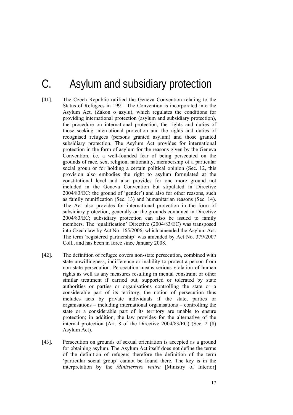# C. Asylum and subsidiary protection

- [41]. The Czech Republic ratified the Geneva Convention relating to the Status of Refugees in 1991. The Convention is incorporated into the Asylum Act, (Zákon o azylu), which regulates the conditions for providing international protection (asylum and subsidiary protection), the procedure on international protection, the rights and duties of those seeking international protection and the rights and duties of recognised refugees (persons granted asylum) and those granted subsidiary protection. The Asylum Act provides for international protection in the form of asylum for the reasons given by the Geneva Convention, i.e. a well-founded fear of being persecuted on the grounds of race, sex, religion, nationality, membership of a particular social group or for holding a certain political opinion (Sec. 12, this provision also embodies the right to asylum formulated at the constitutional level and also provides for one more ground not included in the Geneva Convention but stipulated in Directive 2004/83/EC: the ground of 'gender') and also for other reasons, such as family reunification (Sec. 13) and humanitarian reasons (Sec. 14). The Act also provides for international protection in the form of subsidiary protection, generally on the grounds contained in Directive 2004/83/EC; subsidiary protection can also be issued to family members. The 'qualification' Directive (2004/83/EC) was transposed into Czech law by Act No. 165/2006, which amended the Asylum Act. The term 'registered partnership' was amended by Act No. 379/2007 Coll., and has been in force since January 2008.
- [42]. The definition of refugee covers non-state persecution, combined with state unwillingness, indifference or inability to protect a person from non-state persecution. Persecution means serious violation of human rights as well as any measures resulting in mental constraint or other similar treatment if carried out, supported or tolerated by state authorities or parties or organisations controlling the state or a considerable part of its territory; the notion of persecution thus includes acts by private individuals if the state, parties or organisations – including international organisations – controlling the state or a considerable part of its territory are unable to ensure protection; in addition, the law provides for the alternative of the internal protection (Art. 8 of the Directive 2004/83/EC) (Sec. 2 (8) Asylum Act).
- [43]. Persecution on grounds of sexual orientation is accepted as a ground for obtaining asylum. The Asylum Act itself does not define the terms of the definition of refugee; therefore the definition of the term 'particular social group' cannot be found there. The key is in the interpretation by the *Ministerstvo vnitra* [Ministry of Interior]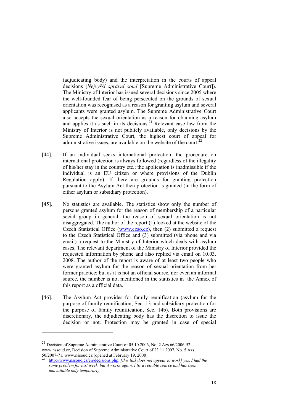(adjudicating body) and the interpretation in the courts of appeal decisions (*Nejvyšší správní soud* [Supreme Administrative Court]). The Ministry of Interior has issued several decisions since 2005 where the well-founded fear of being persecuted on the grounds of sexual orientation was recognised as a reason for granting asylum and several applicants were granted asylum. The Supreme Administrative Court also accepts the sexual orientation as a reason for obtaining asylum and applies it as such in its decisions.<sup>21</sup> Relevant case law from the Ministry of Interior is not publicly available, only decisions by the Supreme Administrative Court, the highest court of appeal for administrative issues, are available on the website of the court.<sup>22</sup>

- [44]. If an individual seeks international protection, the procedure on international protection is always followed (regardless of the illegality of his/her stay in the country etc.; the application is inadmissible if the individual is an EU citizen or where provisions of the Dublin Regulation apply). If there are grounds for granting protection pursuant to the Asylum Act then protection is granted (in the form of either asylum or subsidiary protection).
- [45]. No statistics are available. The statistics show only the number of persons granted asylum for the reason of membership of a particular social group in general, the reason of sexual orientation is not disaggregated. The author of the report (1) looked at the website of the Czech Statistical Office (www.czso.cz), then (2) submitted a request to the Czech Statistical Office and (3) submitted (via phone and via email) a request to the Ministry of Interior which deals with asylum cases. The relevant department of the Ministry of Interior provided the requested information by phone and also replied via email on 10.03. 2008. The author of the report is aware of at least two people who were granted asylum for the reason of sexual orientation from her former practice; but as it is not an official source, nor even an informal source, the number is not mentioned in the statistics in the Annex of this report as a official data.
- [46]. The Asylum Act provides for family reunification (asylum for the purpose of family reunification, Sec. 13 and subsidiary protection for the purpose of family reunification, Sec. 14b). Both provisions are discretionary, the adjudicating body has the discretion to issue the decision or not. Protection may be granted in case of special

1

 $^{21}$  Decision of Supreme Administrative Court of 05.10.2006, No. 2 Azs 66/2006-52, www.nssoud.cz, Decision of Supreme Administrative Court of 23.11.2007, No. 5 Azs 50/2007-71, www.nssoud.cz (opened at February 19, 2008).

<sup>22</sup> http://www.nssoud.cz/en/decisions.php. *[this link does not appear to work] yes, I had the same problem for last week, but it works again. I tis a reliable source and has been unavailable only temporarly*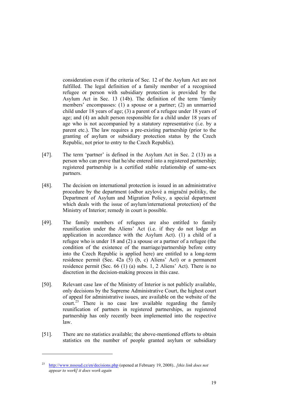consideration even if the criteria of Sec. 12 of the Asylum Act are not fulfilled. The legal definition of a family member of a recognised refugee or person with subsidiary protection is provided by the Asylum Act in Sec. 13 (14b). The definition of the term 'family members' encompasses: (1) a spouse or a partner; (2) an unmarried child under 18 years of age; (3) a parent of a refugee under 18 years of age; and (4) an adult person responsible for a child under 18 years of age who is not accompanied by a statutory representative (i.e. by a parent etc.). The law requires a pre-existing partnership (prior to the granting of asylum or subsidiary protection status by the Czech Republic, not prior to entry to the Czech Republic).

- [47]. The term 'partner' is defined in the Asylum Act in Sec. 2 (13) as a person who can prove that he/she entered into a registered partnership; registered partnership is a certified stable relationship of same-sex partners.
- [48]. The decision on international protection is issued in an administrative procedure by the department (odbor azylové a migrační politiky, the Department of Asylum and Migration Policy, a special department which deals with the issue of asylum/international protection) of the Ministry of Interior; remedy in court is possible.
- [49]. The family members of refugees are also entitled to family reunification under the Aliens' Act (i.e. if they do not lodge an application in accordance with the Asylum Act). (1) a child of a refugee who is under 18 and (2) a spouse or a partner of a refugee (the condition of the existence of the marriage/partnership before entry into the Czech Republic is applied here) are entitled to a long-term residence permit (Sec. 42a (5) (b, c) Aliens' Act) or a permanent residence permit (Sec. 66 (1) (a) subs. 1, 2 Aliens' Act). There is no discretion in the decision-making process in this case.
- [50]. Relevant case law of the Ministry of Interior is not publicly available, only decisions by the Supreme Administrative Court, the highest court of appeal for administrative issues, are available on the website of the  $\text{count}^{23}$  There is no case law available regarding the family reunification of partners in registered partnerships, as registered partnership has only recently been implemented into the respective law.
- [51]. There are no statistics available; the above-mentioned efforts to obtain statistics on the number of people granted asylum or subsidiary

-

<sup>23</sup> http://www.nssoud.cz/en/decisions.php (opened at February 19, 2008).. *[this link does not appear to work] it does work again*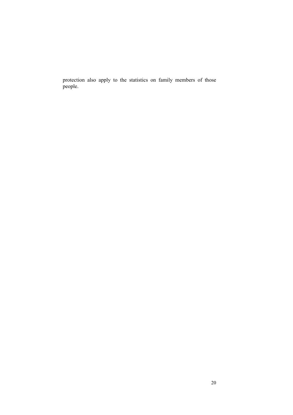protection also apply to the statistics on family members of those people.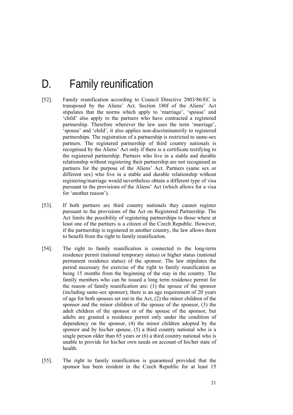# D. Family reunification

- [52]. Family reunification according to Council Directive 2003/86/EC is transposed by the Aliens' Act. Section 180f of the Aliens' Act stipulates that the norms which apply to 'marriage', 'spouse' and 'child' also apply to the partners who have contracted a registered partnership. Therefore wherever the law uses the term 'marriage', 'spouse' and 'child', it also applies non-discriminatorily to registered partnerships. The registration of a partnership is restricted to same-sex partners. The registered partnership of third country nationals is recognised by the Aliens' Act only if there is a certificate testifying to the registered partnership. Partners who live in a stable and durable relationship without registering their partnership are not recognised as partners for the purpose of the Aliens' Act. Partners (same sex or different sex) who live in a stable and durable relationship without registering/marriage would nevertheless obtain a different type of visa pursuant to the provisions of the Aliens' Act (which allows for a visa for 'another reason').
- [53]. If both partners are third country nationals they cannot register pursuant to the provisions of the Act on Registered Partnership. The Act limits the possibility of registering partnerships to those where at least one of the partners is a citizen of the Czech Republic. However, if the partnership is registered in another country, the law allows them to benefit from the right to family reunification.
- [54]. The right to family reunification is connected to the long-term residence permit (national temporary status) or higher status (national permanent residence status) of the sponsor. The law stipulates the period necessary for exercise of the right to family reunification as being 15 months from the beginning of the stay in the country. The family members who can be issued a long term residence permit for the reason of family reunification are: (1) the spouse of the sponsor (including same-sex sponsor); there is an age requirement of 20 years of age for both spouses set out in the Act, (2) the minor children of the sponsor and the minor children of the spouse of the sponsor, (3) the adult children of the sponsor or of the spouse of the sponsor, but adults are granted a residence permit only under the condition of dependency on the sponsor, (4) the minor children adopted by the sponsor and by his/her spouse, (5) a third country national who is a single person older than 65 years or (6) a third country national who is unable to provide for his/her own needs on account of his/her state of health.
- [55]. The right to family reunification is guaranteed provided that the sponsor has been resident in the Czech Republic for at least 15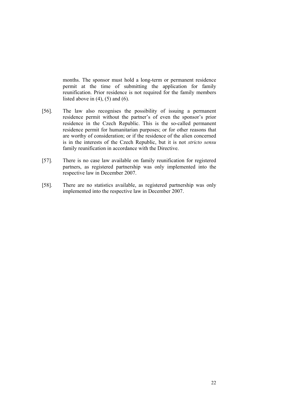months. The sponsor must hold a long-term or permanent residence permit at the time of submitting the application for family reunification. Prior residence is not required for the family members listed above in  $(4)$ ,  $(5)$  and  $(6)$ .

- [56]. The law also recognises the possibility of issuing a permanent residence permit without the partner's of even the sponsor's prior residence in the Czech Republic. This is the so-called permanent residence permit for humanitarian purposes; or for other reasons that are worthy of consideration; or if the residence of the alien concerned is in the interests of the Czech Republic, but it is not *stricto sensu* family reunification in accordance with the Directive.
- [57]. There is no case law available on family reunification for registered partners, as registered partnership was only implemented into the respective law in December 2007.
- [58]. There are no statistics available, as registered partnership was only implemented into the respective law in December 2007.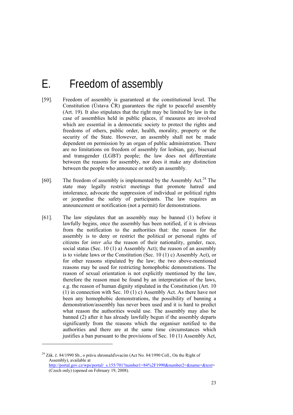## E. Freedom of assembly

- [59]. Freedom of assembly is guaranteed at the constitutional level. The Constitution (Ústava ČR) guarantees the right to peaceful assembly (Art. 19). It also stipulates that the right may be limited by law in the case of assemblies held in public places, if measures are involved which are essential in a democratic society to protect the rights and freedoms of others, public order, health, morality, property or the security of the State. However, an assembly shall not be made dependent on permission by an organ of public administration. There are no limitations on freedom of assembly for lesbian, gay, bisexual and transgender (LGBT) people; the law does not differentiate between the reasons for assembly, nor does it make any distinction between the people who announce or notify an assembly.
- [60]. The freedom of assembly is implemented by the Assembly Act.<sup>24</sup> The state may legally restrict meetings that promote hatred and intolerance, advocate the suppression of individual or political rights or jeopardise the safety of participants. The law requires an announcement or notification (not a permit) for demonstrations.
- [61]. The law stipulates that an assembly may be banned (1) before it lawfully begins, once the assembly has been notified, if it is obvious from the notification to the authorities that: the reason for the assembly is to deny or restrict the political or personal rights of citizens for *inter alia* the reason of their nationality, gender, race, social status (Sec. 10 (1) a) Assembly Act); the reason of an assembly is to violate laws or the Constitution (Sec. 10 (1) c) Assembly Act), or for other reasons stipulated by the law; the two above-mentioned reasons may be used for restricting homophobic demonstrations. The reason of sexual orientation is not explicitly mentioned by the law, therefore the reason must be found by an interpretation of the laws, e.g. the reason of human dignity stipulated in the Constitution (Art. 10 (1) in connection with Sec. 10 (1) c) Assembly Act. As there have not been any homophobic demonstrations, the possibility of banning a demonstration/assembly has never been used and it is hard to predict what reason the authorities would use. The assembly may also be banned (2) after it has already lawfully begun if the assembly departs significantly from the reasons which the organiser notified to the authorities and there are at the same time circumstances which justifies a ban pursuant to the provisions of Sec. 10 (1) Assembly Act,

1

 $^{24}$  Zák. č. 84/1990 Sb., o právu shromažďovacím (Act No. 84/1990 Coll., On the Right of Assembly), available at http://portal.gov.cz/wps/portal/\_s.155/701?number1=84%2F1990&number2=&name=&text= (Czech only) (opened on February 19, 2008).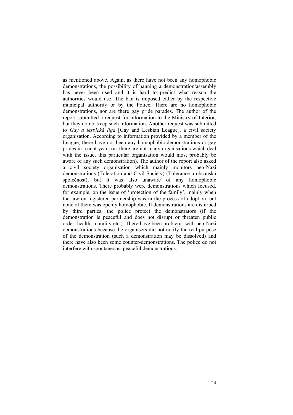as mentioned above. Again, as there have not been any homophobic demonstrations, the possibility of banning a demonstration/assembly has never been used and it is hard to predict what reason the authorities would use. The ban is imposed either by the respective municipal authority or by the Police. There are no homophobic demonstrations, nor are there gay pride parades. The author of the report submitted a request for information to the Ministry of Interior, but they do not keep such information. Another request was submitted to *Gay a lesbická liga* [Gay and Lesbian League], a civil society organisation. According to information provided by a member of the League, there have not been any homophobic demonstrations or gay prides in recent years (as there are not many organisations which deal with the issue, this particular organisation would most probably be aware of any such demonstration). The author of the report also asked a civil society organisation which mainly monitors neo-Nazi demonstrations (Toleration and Civil Society) (Tolerance a občanská společnost), but it was also unaware of any homophobic demonstrations. There probably were demonstrations which focused, for example, on the issue of 'protection of the family', mainly when the law on registered partnership was in the process of adoption, but none of them was openly homophobic. If demonstrations are disturbed by third parties, the police protect the demonstrators (if the demonstration is peaceful and does not disrupt or threaten public order, health, morality etc.). There have been problems with neo-Nazi demonstrations because the organisers did not notify the real purpose of the demonstration (such a demonstration may be dissolved) and there have also been some counter-demonstrations. The police do not interfere with spontaneous, peaceful demonstrations.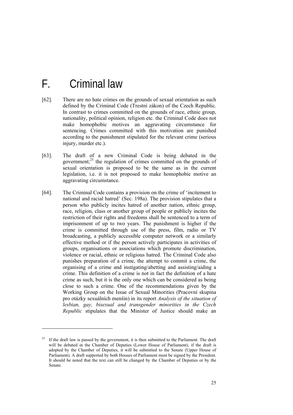# F. Criminal law

1

- [62]. There are no hate crimes on the grounds of sexual orientation as such defined by the Criminal Code (Trestní zákon) of the Czech Republic. In contrast to crimes committed on the grounds of race, ethnic group, nationality, political opinion, religion etc. the Criminal Code does not make homophobic motives an aggravating circumstance for sentencing. Crimes committed with this motivation are punished according to the punishment stipulated for the relevant crime (serious injury, murder etc.).
- [63]. The draft of a new Criminal Code is being debated in the government; $^{25}$  the regulation of crimes committed on the grounds of sexual orientation is proposed to be the same as in the current legislation, i.e. it is not proposed to make homophobic motive an aggravating circumstance.
- [64]. The Criminal Code contains a provision on the crime of 'incitement to national and racial hatred' (Sec. 198a). The provision stipulates that a person who publicly incites hatred of another nation, ethnic group, race, religion, class or another group of people or publicly incites the restriction of their rights and freedoms shall be sentenced to a term of imprisonment of up to two years. The punishment is higher if the crime is committed through use of the press, film, radio or TV broadcasting, a publicly accessible computer network or a similarly effective method or if the person actively participates in activities of groups, organisations or associations which promote discrimination, violence or racial, ethnic or religious hatred. The Criminal Code also punishes preparation of a crime, the attempt to commit a crime, the organising of a crime and instigating/abetting and assisting/aiding a crime. This definition of a crime is not in fact the definition of a hate crime as such, but it is the only one which can be considered as being close to such a crime. One of the recommendations given by the Working Group on the Issue of Sexual Minorities (Pracovní skupina pro otázky sexuálních menšin) in its report *Analysis of the situation of lesbian, gay, bisexual and transgender minorities in the Czech Republic* stipulates that the Minister of Justice should make an

<sup>25</sup> If the draft law is passed by the government, it is then submitted to the Parliament. The draft will be debated in the Chamber of Deputies (Lower House of Parliament), if the draft is adopted by the Chamber of Deputies, it will be submitted to the Senate (Upper House of Parliament). A draft supported by both Houses of Parliament must be signed by the President. It should be noted that the text can still be changed by the Chamber of Deputies or by the Senate.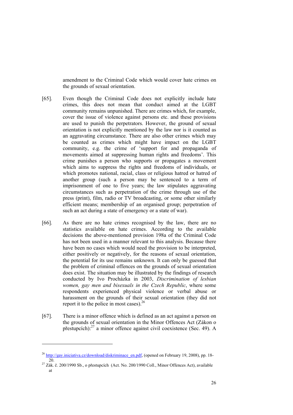amendment to the Criminal Code which would cover hate crimes on the grounds of sexual orientation.

- [65]. Even though the Criminal Code does not explicitly include hate crimes, this does not mean that conduct aimed at the LGBT community remains unpunished. There are crimes which, for example, cover the issue of violence against persons etc. and these provisions are used to punish the perpetrators. However, the ground of sexual orientation is not explicitly mentioned by the law nor is it counted as an aggravating circumstance. There are also other crimes which may be counted as crimes which might have impact on the LGBT community, e.g. the crime of 'support for and propaganda of movements aimed at suppressing human rights and freedoms'. This crime punishes a person who supports or propagates a movement which aims to suppress the rights and freedoms of individuals, or which promotes national, racial, class or religious hatred or hatred of another group (such a person may be sentenced to a term of imprisonment of one to five years; the law stipulates aggravating circumstances such as perpetration of the crime through use of the press (print), film, radio or TV broadcasting, or some other similarly efficient means; membership of an organised group; perpetration of such an act during a state of emergency or a state of war).
- [66]. As there are no hate crimes recognised by the law, there are no statistics available on hate crimes. According to the available decisions the above-mentioned provision 198a of the Criminal Code has not been used in a manner relevant to this analysis. Because there have been no cases which would need the provision to be interpreted, either positively or negatively, for the reasons of sexual orientation, the potential for its use remains unknown. It can only be guessed that the problem of criminal offences on the grounds of sexual orientation does exist. The situation may be illustrated by the findings of research conducted by Ivo Procházka in 2003, *Discrimination of lesbian women, gay men and bisexuals in the Czech Republic*, where some respondents experienced physical violence or verbal abuse or harassment on the grounds of their sexual orientation (they did not report it to the police in most cases). $26$
- [67]. There is a minor offence which is defined as an act against a person on the grounds of sexual orientation in the Minor Offences Act (Zákon o přestupcích):27 a minor offence against civil coexistence (Sec. 49). A

1

<sup>&</sup>lt;sup>26</sup> http://gay.iniciativa.cz/download/diskriminace\_en.pdf, (opened on February 19, 2008), pp. 18-20. 20. 20. 200/1990 Sb., o přestupcích (Act. No. 200/1990 Coll., Minor Offences Act), available

at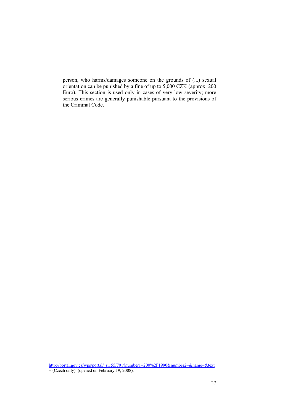person, who harms/damages someone on the grounds of (...) sexual orientation can be punished by a fine of up to 5,000 CZK (approx. 200 Euro). This section is used only in cases of very low severity; more serious crimes are generally punishable pursuant to the provisions of the Criminal Code.

http://portal.gov.cz/wps/portal/\_s.155/701?number1=200%2F1990&number2=&name=&text = (Czech only), (opened on February 19, 2008).

-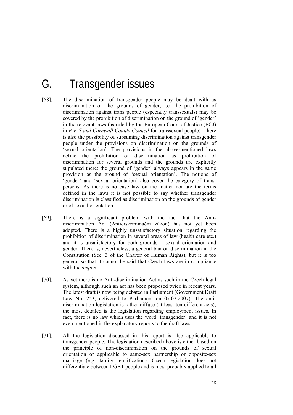# G. Transgender issues

- [68]. The discrimination of transgender people may be dealt with as discrimination on the grounds of gender, i.e. the prohibition of discrimination against trans people (especially transsexuals) may be covered by the prohibition of discrimination on the ground of 'gender' in the relevant laws (as ruled by the European Court of Justice (ECJ) in *P v. S and Cornwall County Council* for transsexual people)*.* There is also the possibility of subsuming discrimination against transgender people under the provisions on discrimination on the grounds of 'sexual orientation'. The provisions in the above-mentioned laws define the prohibition of discrimination as prohibition of discrimination for several grounds and the grounds are explicitly stipulated there: the ground of 'gender' always appears in the same provision as the ground of 'sexual orientation'. The notions of 'gender' and 'sexual orientation' also cover the category of transpersons. As there is no case law on the matter nor are the terms defined in the laws it is not possible to say whether transgender discrimination is classified as discrimination on the grounds of gender or of sexual orientation.
- [69]. There is a significant problem with the fact that the Antidiscrimination Act (Antidiskriminační zákon) has not yet been adopted. There is a highly unsatisfactory situation regarding the prohibition of discrimination in several areas of law (health care etc.) and it is unsatisfactory for both grounds – sexual orientation and gender. There is, nevertheless, a general ban on discrimination in the Constitution (Sec. 3 of the Charter of Human Rights), but it is too general so that it cannot be said that Czech laws are in compliance with the *acquis*.
- [70]. As yet there is no Anti-discrimination Act as such in the Czech legal system, although such an act has been proposed twice in recent years. The latest draft is now being debated in Parliament (Government Draft Law No. 253, delivered to Parliament on 07.07.2007). The antidiscrimination legislation is rather diffuse (at least ten different acts); the most detailed is the legislation regarding employment issues. In fact, there is no law which uses the word 'transgender' and it is not even mentioned in the explanatory reports to the draft laws.
- [71]. All the legislation discussed in this report is also applicable to transgender people. The legislation described above is either based on the principle of non-discrimination on the grounds of sexual orientation or applicable to same-sex partnership or opposite-sex marriage (e.g. family reunification). Czech legislation does not differentiate between LGBT people and is most probably applied to all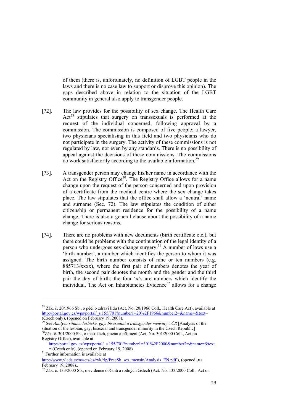of them (there is, unfortunately, no definition of LGBT people in the laws and there is no case law to support or disprove this opinion). The gaps described above in relation to the situation of the LGBT community in general also apply to transgender people.

- [72]. The law provides for the possibility of sex change. The Health Care Act<sup>28</sup> stipulates that surgery on transsexuals is performed at the request of the individual concerned, following approval by a commission. The commission is composed of five people: a lawyer, two physicians specialising in this field and two physicians who do not participate in the surgery. The activity of these commissions is not regulated by law, nor even by any standards. There is no possibility of appeal against the decisions of these commissions. The commissions do work satisfactorily according to the available information.29
- [73]. A transgender person may change his/her name in accordance with the Act on the Registry Office<sup>30</sup>. The Registry Office allows for a name change upon the request of the person concerned and upon provision of a certificate from the medical centre where the sex change takes place. The law stipulates that the office shall allow a 'neutral' name and surname (Sec. 72). The law stipulates the condition of either citizenship or permanent residence for the possibility of a name change. There is also a general clause about the possibility of a name change for serious reasons.
- [74]. There are no problems with new documents (birth certificate etc.), but there could be problems with the continuation of the legal identity of a person who undergoes sex-change surgery.<sup>31</sup> A number of laws use a 'birth number', a number which identifies the person to whom it was assigned. The birth number consists of nine or ten numbers (e.g. 885713/xxxx), where the first pair of numbers denotes the year of birth, the second pair denotes the month and the gender and the third pair the day of birth; the four 'x's are numbers which identify the individual. The Act on Inhabitancies Evidence<sup>32</sup> allows for a change

-

<sup>&</sup>lt;sup>28</sup> Zák. č. 20/1966 Sb., o péči o zdraví lidu (Act. No. 20/1966 Coll., Health Care Act), available at http://portal.gov.cz/wps/portal/\_s.155/701?number1=20%2F1966&number2=&name=&text= (Czech only), (opened on February 19, 2008).

<sup>29</sup> See *Analýza situace lesbické, gay, bisexuální a transgender menšiny v ČR* [Analysis of the situation of the lesbian, gay, bisexual and transgender minority in the Czech Republic]  $30Z$ ák. č. 301/2000 Sb., o matrikách, jménu a příjmení (Act. No. 301/2000 Coll., Act on Registry Office), available at

http://portal.gov.cz/wps/portal/\_s.155/701?number1=301%2F2000&number2=&name=&text<br>= (Czech only), (opened on February 19, 2008).

 $31$  Further information is available at

http://www.ylada.cz/assets/cs/ryk/rlp/PracSk\_sex\_mensin/Analysis\_EN.pdf ), (opened On February 19, 2008)..

<sup>&</sup>lt;sup>32</sup> Zák. č. 133/2000 Sb., o evidence občanů a rodných číslech (Act. No. 133/2000 Coll., Act on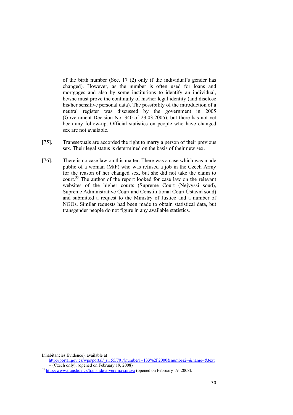of the birth number (Sec. 17 (2) only if the individual's gender has changed). However, as the number is often used for loans and mortgages and also by some institutions to identify an individual, he/she must prove the continuity of his/her legal identity (and disclose his/her sensitive personal data). The possibility of the introduction of a neutral register was discussed by the government in 2005 (Government Decision No. 340 of 23.03.2005), but there has not yet been any follow-up. Official statistics on people who have changed sex are not available.

- [75]. Transsexuals are accorded the right to marry a person of their previous sex. Their legal status is determined on the basis of their new sex.
- [76]. There is no case law on this matter. There was a case which was made public of a woman (MtF) who was refused a job in the Czech Army for the reason of her changed sex, but she did not take the claim to court.33 The author of the report looked for case law on the relevant websites of the higher courts (Supreme Court (Nejvyšší soud), Supreme Administrative Court and Constitutional Court Ústavní soud) and submitted a request to the Ministry of Justice and a number of NGOs. Similar requests had been made to obtain statistical data, but transgender people do not figure in any available statistics.

1

Inhabitancies Evidence), available at

http://portal.gov.cz/wps/portal/\_s.155/701?number1=133%2F2000&number2=&name=&text<br>= (Czech only), (opened on February 19, 2008)

<sup>&</sup>lt;sup>33</sup> http://www.translide.cz/translide-a-verejna-sprava (opened on February 19, 2008).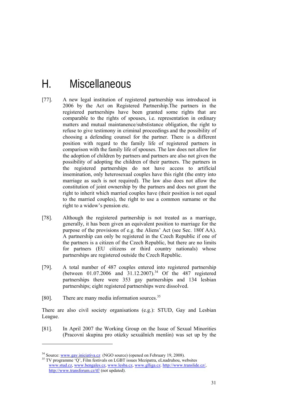# H. Miscellaneous

- [77]. A new legal institution of registered partnership was introduced in 2006 by the Act on Registered Partnership.The partners in the registered partnerships have been granted some rights that are comparable to the rights of spouses, i.e. representation in ordinary matters and mutual maintanence/substistance obligation, the right to refuse to give testimony in criminal proceedings and the possibility of choosing a defending counsel for the partner. There is a different position with regard to the family life of registered partners in comparison with the family life of spouses. The law does not allow for the adoption of children by partners and partners are also not given the possibility of adopting the children of their partners. The partners in the registered partnerships do not have access to artificial insemination, only heterosexual couples have this right (the entry into marriage as such is not required). The law also does not allow the constitution of joint ownership by the partners and does not grant the right to inherit which married couples have (their position is not equal to the married couples), the right to use a common surname or the right to a widow's pension etc.
- [78]. Although the registered partnership is not treated as a marriage, generally, it has been given an equivalent position to marriage for the purpose of the provisions of e.g. the Aliens' Act (see Sec. 180f AA). A partnership can only be registered in the Czech Republic if one of the partners is a citizen of the Czech Republic, but there are no limits for partners (EU citizens or third country nationals) whose partnerships are registered outside the Czech Republic.
- [79]. A total number of 487 couples entered into registered partnership (between  $01.07.2006$  and  $31.12.2007$ ).<sup>34</sup> Of the 487 registered partnerships there were 353 gay partnerships and 134 lesbian partnerships; eight registered partnerships were dissolved.
- [80]. There are many media information sources. $35$

1

There are also civil society organisations (e.g.): STUD, Gay and Lesbian League.

[81]. In April 2007 the Working Group on the Issue of Sexual Minorities (Pracovní skupina pro otázky sexuálních menšin) was set up by the

<sup>&</sup>lt;sup>34</sup> Source: www.gay.iniciativa.cz (NGO source) (opened on February 19, 2008). <sup>35</sup> TV programme 'Q', Film festivals on LGBT issues Mezipatra, eLnadruhou, websites

www.stud.cz, www.bengales.cz, www.lesba.cz, www.glliga.cz. http://www.translide.cz/, http://www.transforum.cz/tf/ (not updated).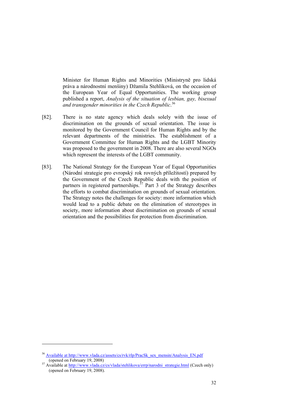Minister for Human Rights and Minorities (Ministryně pro lidská práva a národnostní menšiny) Džamila Stehlíková, on the occasion of the European Year of Equal Opportunities. The working group published a report, *Analysis of the situation of lesbian, gay, bisexual and transgender minorities in the Czech Republic*. 36

- [82]. There is no state agency which deals solely with the issue of discrimination on the grounds of sexual orientation. The issue is monitored by the Government Council for Human Rights and by the relevant departments of the ministries. The establishment of a Government Committee for Human Rights and the LGBT Minority was proposed to the government in 2008. There are also several NGOs which represent the interests of the LGBT community.
- [83]. The National Strategy for the European Year of Equal Opportunities (Národní strategie pro evropský rok rovných příležitostí) prepared by the Government of the Czech Republic deals with the position of partners in registered partnerships. $\frac{37}{27}$  Part 3 of the Strategy describes the efforts to combat discrimination on grounds of sexual orientation. The Strategy notes the challenges for society: more information which would lead to a public debate on the elimination of stereotypes in society, more information about discrimination on grounds of sexual orientation and the possibilities for protection from discrimination.

1

<sup>&</sup>lt;sup>36</sup> Available at http://www.vlada.cz/assets/cs/rvk/rlp/PracSk\_sex\_mensin/Analysis\_EN.pdf (opened on February 19, 2008)

Available at http://www.vlada.cz/cs/vlada/stehlikova/errp/narodni\_strategie.html (Czech only) (opened on February 19, 2008).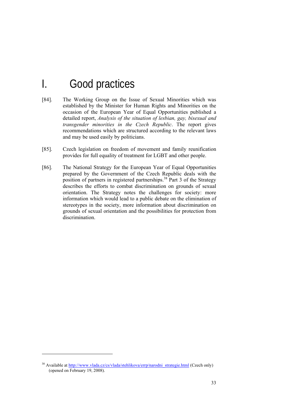# I. Good practices

- [84]. The Working Group on the Issue of Sexual Minorities which was established by the Minister for Human Rights and Minorities on the occasion of the European Year of Equal Opportunities published a detailed report, *Analysis of the situation of lesbian, gay, bisexual and transgender minorities in the Czech Republic*. The report gives recommendations which are structured according to the relevant laws and may be used easily by politicians.
- [85]. Czech legislation on freedom of movement and family reunification provides for full equality of treatment for LGBT and other people.
- [86]. The National Strategy for the European Year of Equal Opportunities prepared by the Government of the Czech Republic deals with the proprieted by the Several Line of the Strategy position of partners in registered partnerships.<sup>38</sup> Part 3 of the Strategy describes the efforts to combat discrimination on grounds of sexual orientation. The Strategy notes the challenges for society: more information which would lead to a public debate on the elimination of stereotypes in the society, more information about discrimination on grounds of sexual orientation and the possibilities for protection from discrimination.

-

<sup>&</sup>lt;sup>38</sup> Available at http://www.vlada.cz/cs/vlada/stehlikova/errp/narodni\_strategie.html (Czech only) (opened on February 19, 2008).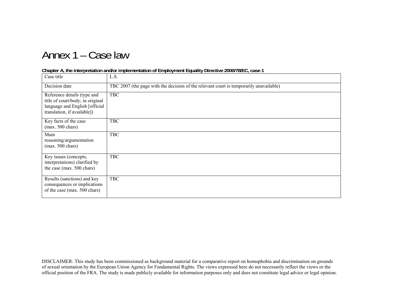# Annex 1 – Case law

### **Chapter A, the interpretation and/or implementation of Employment Equality Directive 2000/78/EC, case 1**

| Case title                                                                                                                       | L.S.                                                                                   |
|----------------------------------------------------------------------------------------------------------------------------------|----------------------------------------------------------------------------------------|
| Decision date                                                                                                                    | TBC 2007 (the page with the decision of the relevant court is temporarily unavailable) |
| Reference details (type and<br>title of court/body; in original<br>language and English [official<br>translation, if available]) | <b>TBC</b>                                                                             |
| Key facts of the case<br>$(max. 500 \text{ chars})$                                                                              | <b>TBC</b>                                                                             |
| Main<br>reasoning/argumentation<br>$(max. 500 \text{ chars})$                                                                    | <b>TBC</b>                                                                             |
| Key issues (concepts,<br>interpretations) clarified by<br>the case (max. 500 chars)                                              | <b>TBC</b>                                                                             |
| Results (sanctions) and key<br>consequences or implications<br>of the case (max. 500 chars)                                      | <b>TBC</b>                                                                             |

DISCLAIMER: This study has been commissioned as background material for a comparative report on homophobia and discrimination on grounds of sexual orientation by the European Union Agency for Fundamental Rights. The views expressed here do not necessarily reflect the views or the official position of the FRA. The study is made publicly available for information purposes only and does not constitute legal advice or legal opinion.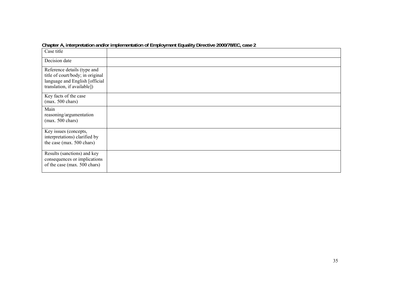|                                                                                                                                  | onapici A <sub>t</sub> interpretation analor implementation or Employment Equality Directive 2000/70/EO <sub>t</sub> case 2 |
|----------------------------------------------------------------------------------------------------------------------------------|-----------------------------------------------------------------------------------------------------------------------------|
| Case title                                                                                                                       |                                                                                                                             |
| Decision date                                                                                                                    |                                                                                                                             |
| Reference details (type and<br>title of court/body; in original<br>language and English [official<br>translation, if available]) |                                                                                                                             |
| Key facts of the case<br>$(max. 500 \text{ chars})$                                                                              |                                                                                                                             |
| Main<br>reasoning/argumentation<br>$(max. 500 \text{ chars})$                                                                    |                                                                                                                             |
| Key issues (concepts,<br>interpretations) clarified by<br>the case (max. 500 chars)                                              |                                                                                                                             |
| Results (sanctions) and key<br>consequences or implications<br>of the case (max. 500 chars)                                      |                                                                                                                             |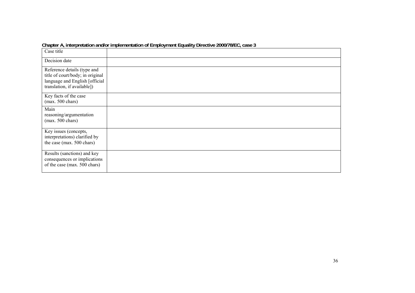|                                                                                                                                  | Chapter A, interpretation analog implementation or Employment Equality Directive Zood HolLe, case 3 |
|----------------------------------------------------------------------------------------------------------------------------------|-----------------------------------------------------------------------------------------------------|
| Case title                                                                                                                       |                                                                                                     |
| Decision date                                                                                                                    |                                                                                                     |
| Reference details (type and<br>title of court/body; in original<br>language and English [official<br>translation, if available]) |                                                                                                     |
| Key facts of the case<br>$(max. 500 \text{ chars})$                                                                              |                                                                                                     |
| Main<br>reasoning/argumentation<br>$(max. 500 \text{ chars})$                                                                    |                                                                                                     |
| Key issues (concepts,<br>interpretations) clarified by<br>the case (max. 500 chars)                                              |                                                                                                     |
| Results (sanctions) and key<br>consequences or implications<br>of the case (max. 500 chars)                                      |                                                                                                     |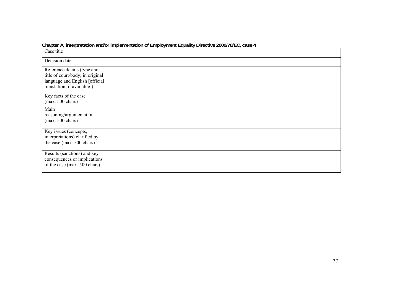|                                                                                                                                  | onapici A <sub>t</sub> interpretation analor implementation or Employment Equality Directive 2000/70/EO <sub>t</sub> case <del>1</del> |
|----------------------------------------------------------------------------------------------------------------------------------|----------------------------------------------------------------------------------------------------------------------------------------|
| Case title                                                                                                                       |                                                                                                                                        |
| Decision date                                                                                                                    |                                                                                                                                        |
| Reference details (type and<br>title of court/body; in original<br>language and English [official<br>translation, if available]) |                                                                                                                                        |
| Key facts of the case<br>$(max. 500 \text{ chars})$                                                                              |                                                                                                                                        |
| Main<br>reasoning/argumentation<br>$(max. 500 \text{ chars})$                                                                    |                                                                                                                                        |
| Key issues (concepts,<br>interpretations) clarified by<br>the case (max. 500 chars)                                              |                                                                                                                                        |
| Results (sanctions) and key<br>consequences or implications<br>of the case (max. 500 chars)                                      |                                                                                                                                        |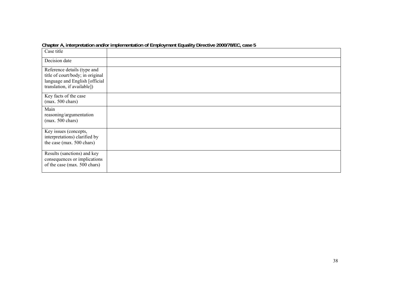|                                                                                                                                  | Chapter A, interpretation analog implementation or Employment Equality Directive Zood HolLe, ease 3 |
|----------------------------------------------------------------------------------------------------------------------------------|-----------------------------------------------------------------------------------------------------|
| Case title                                                                                                                       |                                                                                                     |
| Decision date                                                                                                                    |                                                                                                     |
| Reference details (type and<br>title of court/body; in original<br>language and English [official<br>translation, if available]) |                                                                                                     |
| Key facts of the case<br>$(max. 500 \text{ chars})$                                                                              |                                                                                                     |
| Main<br>reasoning/argumentation<br>$(max. 500 \text{ chars})$                                                                    |                                                                                                     |
| Key issues (concepts,<br>interpretations) clarified by<br>the case (max. 500 chars)                                              |                                                                                                     |
| Results (sanctions) and key<br>consequences or implications<br>of the case (max. 500 chars)                                      |                                                                                                     |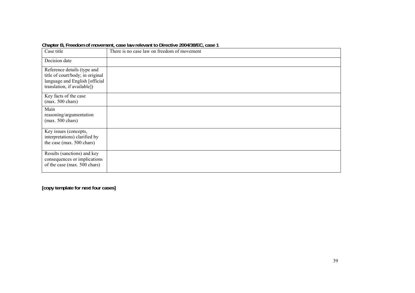| Case title                                                                                                                       | There is no case law on freedom of movement |
|----------------------------------------------------------------------------------------------------------------------------------|---------------------------------------------|
| Decision date                                                                                                                    |                                             |
| Reference details (type and<br>title of court/body; in original<br>language and English [official<br>translation, if available]) |                                             |
| Key facts of the case<br>$(max. 500 \text{ chars})$                                                                              |                                             |
| Main<br>reasoning/argumentation<br>$(max. 500 \text{ chars})$                                                                    |                                             |
| Key issues (concepts,<br>interpretations) clarified by<br>the case (max. 500 chars)                                              |                                             |
| Results (sanctions) and key<br>consequences or implications<br>of the case (max. 500 chars)                                      |                                             |

#### **Chapter B, Freedom of movement, case law relevant to Directive 2004/38/EC, case 1**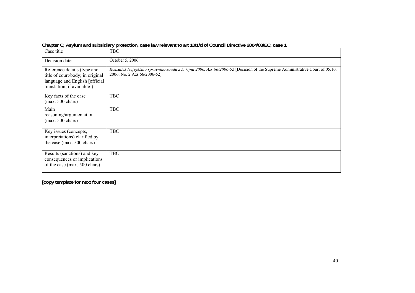| Case title                                                                                                                       | <b>TBC</b>                                                                                                                                                 |
|----------------------------------------------------------------------------------------------------------------------------------|------------------------------------------------------------------------------------------------------------------------------------------------------------|
| Decision date                                                                                                                    | October 5, 2006                                                                                                                                            |
| Reference details (type and<br>title of court/body; in original<br>language and English [official<br>translation, if available]) | Rozsudek Nejvyššího správního soudu z 5. října 2006, Azs 66/2006-52 [Decision of the Supreme Administrative Court of 05.10.<br>2006, No. 2 Azs 66/2006-52] |
| Key facts of the case<br>$(max. 500 \text{ chars})$                                                                              | <b>TBC</b>                                                                                                                                                 |
| Main<br>reasoning/argumentation<br>$(max. 500 \text{ chars})$                                                                    | <b>TBC</b>                                                                                                                                                 |
| Key issues (concepts,<br>interpretations) clarified by<br>the case (max. 500 chars)                                              | <b>TBC</b>                                                                                                                                                 |
| Results (sanctions) and key<br>consequences or implications<br>of the case (max. 500 chars)                                      | <b>TBC</b>                                                                                                                                                 |

**Chapter C, Asylum and subsidiary protection, case law relevant to art 10/1/d of Council Directive 2004/83/EC, case 1**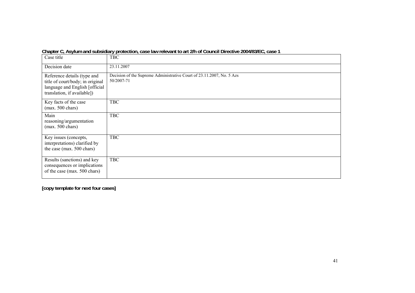| Case title                                                                                                                       | <b>TBC</b>                                                                          |
|----------------------------------------------------------------------------------------------------------------------------------|-------------------------------------------------------------------------------------|
| Decision date                                                                                                                    | 23.11.2007                                                                          |
| Reference details (type and<br>title of court/body; in original<br>language and English [official<br>translation, if available]) | Decision of the Supreme Administrative Court of 23.11.2007, No. 5 Azs<br>50/2007-71 |
| Key facts of the case<br>$(max. 500 \text{ chars})$                                                                              | <b>TBC</b>                                                                          |
| Main<br>reasoning/argumentation<br>$(max. 500 \text{ chars})$                                                                    | <b>TBC</b>                                                                          |
| Key issues (concepts,<br>interpretations) clarified by<br>the case (max. 500 chars)                                              | <b>TBC</b>                                                                          |
| Results (sanctions) and key<br>consequences or implications<br>of the case (max. 500 chars)                                      | <b>TBC</b>                                                                          |

**Chapter C, Asylum and subsidiary protection, case law relevant to art 2/h of Council Directive 2004/83/EC, case 1**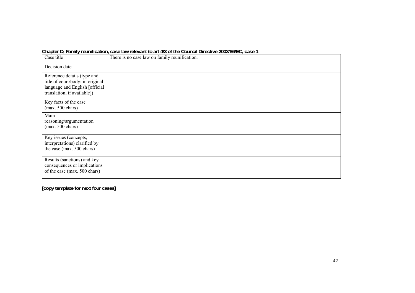### **Chapter D, Family reunification, case law relevant to art 4/3 of the Council Directive 2003/86/EC, case 1**

| Case title                                                                                                                       | There is no case law on family reunification. |
|----------------------------------------------------------------------------------------------------------------------------------|-----------------------------------------------|
| Decision date                                                                                                                    |                                               |
| Reference details (type and<br>title of court/body; in original<br>language and English [official<br>translation, if available]) |                                               |
| Key facts of the case<br>$(max. 500 \text{ chars})$                                                                              |                                               |
| Main<br>reasoning/argumentation<br>(max. 500 chars)                                                                              |                                               |
| Key issues (concepts,<br>interpretations) clarified by<br>the case (max. 500 chars)                                              |                                               |
| Results (sanctions) and key<br>consequences or implications<br>of the case (max. 500 chars)                                      |                                               |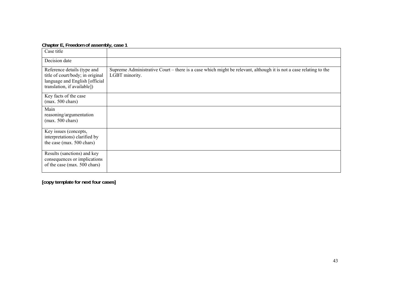### **Chapter E, Freedom of assembly, case 1**

| Case title                                                                                                                       |                                                                                                                                     |
|----------------------------------------------------------------------------------------------------------------------------------|-------------------------------------------------------------------------------------------------------------------------------------|
| Decision date                                                                                                                    |                                                                                                                                     |
| Reference details (type and<br>title of court/body; in original<br>language and English [official<br>translation, if available]) | Supreme Administrative Court – there is a case which might be relevant, although it is not a case relating to the<br>LGBT minority. |
| Key facts of the case<br>$(max. 500 \text{ chars})$                                                                              |                                                                                                                                     |
| Main<br>reasoning/argumentation<br>$(max. 500 \text{ chars})$                                                                    |                                                                                                                                     |
| Key issues (concepts,<br>interpretations) clarified by<br>the case (max. 500 chars)                                              |                                                                                                                                     |
| Results (sanctions) and key<br>consequences or implications<br>of the case (max. 500 chars)                                      |                                                                                                                                     |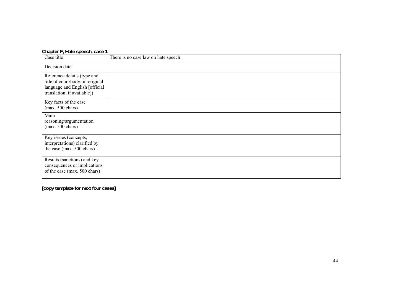### **Chapter F, Hate speech, case 1**

| Case title                                                                                                                       | There is no case law on hate speech |
|----------------------------------------------------------------------------------------------------------------------------------|-------------------------------------|
| Decision date                                                                                                                    |                                     |
| Reference details (type and<br>title of court/body; in original<br>language and English [official<br>translation, if available]) |                                     |
| Key facts of the case<br>$(max. 500 \text{ chars})$                                                                              |                                     |
| Main<br>reasoning/argumentation<br>$(max. 500 \text{ chars})$                                                                    |                                     |
| Key issues (concepts,<br>interpretations) clarified by<br>the case (max. 500 chars)                                              |                                     |
| Results (sanctions) and key<br>consequences or implications<br>of the case (max. 500 chars)                                      |                                     |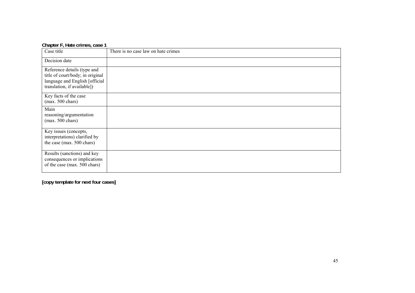| Chapter F, Hate crimes, case 1                                                                                                   |                                     |
|----------------------------------------------------------------------------------------------------------------------------------|-------------------------------------|
| Case title                                                                                                                       | There is no case law on hate crimes |
| Decision date                                                                                                                    |                                     |
| Reference details (type and<br>title of court/body; in original<br>language and English [official<br>translation, if available]) |                                     |
| Key facts of the case<br>$(max. 500 \text{ chars})$                                                                              |                                     |
| Main<br>reasoning/argumentation<br>$(max. 500 \text{ chars})$                                                                    |                                     |
| Key issues (concepts,<br>interpretations) clarified by<br>the case (max. 500 chars)                                              |                                     |
| Results (sanctions) and key<br>consequences or implications<br>of the case (max. 500 chars)                                      |                                     |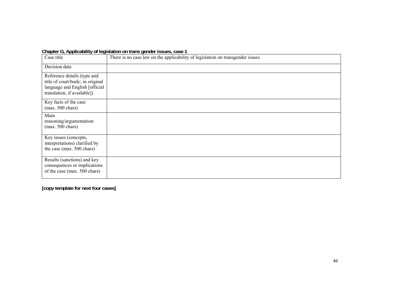### **Chapter G, Applicability of legislation on trans gender issues, case 1**

| . .<br>.                                                                                                                         |                                                                                |
|----------------------------------------------------------------------------------------------------------------------------------|--------------------------------------------------------------------------------|
| Case title                                                                                                                       | There is no case law on the applicability of legislation on transgender issues |
| Decision date                                                                                                                    |                                                                                |
| Reference details (type and<br>title of court/body; in original<br>language and English [official<br>translation, if available]) |                                                                                |
| Key facts of the case<br>$(max. 500 \text{ chars})$                                                                              |                                                                                |
| Main<br>reasoning/argumentation<br>$(max. 500 \text{ chars})$                                                                    |                                                                                |
| Key issues (concepts,<br>interpretations) clarified by<br>the case (max. 500 chars)                                              |                                                                                |
| Results (sanctions) and key<br>consequences or implications<br>of the case (max. 500 chars)                                      |                                                                                |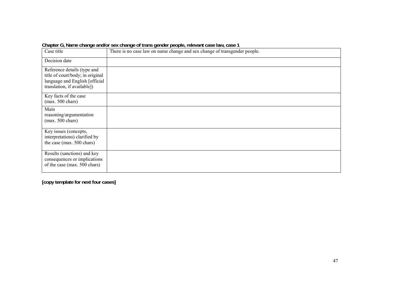| Case title                                                                                                                       | There is no case law on name change and sex change of transgender people. |
|----------------------------------------------------------------------------------------------------------------------------------|---------------------------------------------------------------------------|
| Decision date                                                                                                                    |                                                                           |
| Reference details (type and<br>title of court/body; in original<br>language and English [official<br>translation, if available]) |                                                                           |
| Key facts of the case<br>$(max. 500 \text{ chars})$                                                                              |                                                                           |
| Main<br>reasoning/argumentation<br>$(max. 500 \text{ chars})$                                                                    |                                                                           |
| Key issues (concepts,<br>interpretations) clarified by<br>the case (max. 500 chars)                                              |                                                                           |
| Results (sanctions) and key<br>consequences or implications<br>of the case (max. 500 chars)                                      |                                                                           |

**Chapter G, Name change and/or sex change of trans gender people, relevant case law, case 1**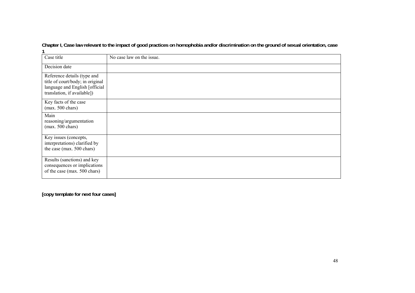**Chapter I, Case law relevant to the impact of good practices on homophobia and/or discrimination on the ground of sexual orientation, case 1** 

| Case title                                                                                                                       | No case law on the issue. |
|----------------------------------------------------------------------------------------------------------------------------------|---------------------------|
| Decision date                                                                                                                    |                           |
| Reference details (type and<br>title of court/body; in original<br>language and English [official<br>translation, if available]) |                           |
| Key facts of the case<br>$(max. 500 \text{ chars})$                                                                              |                           |
| Main<br>reasoning/argumentation<br>$(max. 500 \text{ chars})$                                                                    |                           |
| Key issues (concepts,<br>interpretations) clarified by<br>the case (max. 500 chars)                                              |                           |
| Results (sanctions) and key<br>consequences or implications<br>of the case (max. 500 chars)                                      |                           |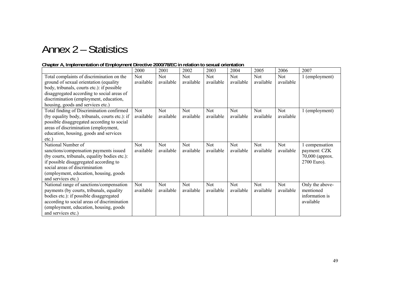# Annex 2 – Statistics

### **Chapter A, Implementation of Employment Directive 2000/78/EC in relation to sexual orientation**

|                                                                                                                                                                                                                                                                | 2000                    | 2001                    | 2002                    | 2003                    | 2004                    | 2005                    | 2006                    | 2007                                                             |
|----------------------------------------------------------------------------------------------------------------------------------------------------------------------------------------------------------------------------------------------------------------|-------------------------|-------------------------|-------------------------|-------------------------|-------------------------|-------------------------|-------------------------|------------------------------------------------------------------|
| Total complaints of discrimination on the<br>ground of sexual orientation (equality<br>body, tribunals, courts etc.): if possible<br>disaggregated according to social areas of<br>discrimination (employment, education,<br>housing, goods and services etc.) | Not<br>available        | <b>Not</b><br>available | <b>Not</b><br>available | <b>Not</b><br>available | <b>Not</b><br>available | <b>Not</b><br>available | <b>Not</b><br>available | 1 (employment)                                                   |
| Total finding of Discrimination confirmed<br>(by equality body, tribunals, courts etc.): if<br>possible disaggregated according to social<br>areas of discrimination (employment,<br>education, housing, goods and services<br>$etc.$ )                        | Not<br>available        | <b>Not</b><br>available | Not.<br>available       | Not<br>available        | <b>Not</b><br>available | <b>Not</b><br>available | Not<br>available        | 1 (employment)                                                   |
| National Number of<br>sanctions/compensation payments issued<br>(by courts, tribunals, equality bodies etc.):<br>if possible disaggregated according to<br>social areas of discrimination<br>(employment, education, housing, goods)<br>and services etc.)     | <b>Not</b><br>available | <b>Not</b><br>available | Not<br>available        | Not<br>available        | Not<br>available        | <b>Not</b><br>available | <b>Not</b><br>available | 1 compensation<br>payment: CZK<br>70,000 (approx.<br>2700 Euro). |
| National range of sanctions/compensation<br>payments (by courts, tribunals, equality<br>bodies etc.): if possible disaggregated<br>according to social areas of discrimination<br>(employment, education, housing, goods<br>and services etc.)                 | Not<br>available        | <b>Not</b><br>available | <b>Not</b><br>available | Not<br>available        | <b>Not</b><br>available | <b>Not</b><br>available | Not<br>available        | Only the above-<br>mentioned<br>information is<br>available      |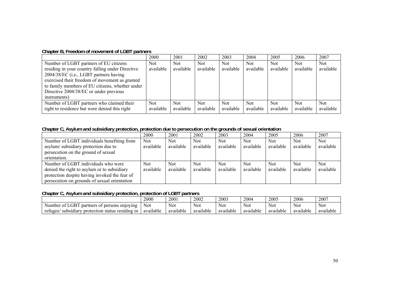### **Chapter B, Freedom of movement of LGBT partners**

|                                                  | 2000      | 2001      | 2002      | 2003       | 2004      | 2005      | 2006       | 2007       |
|--------------------------------------------------|-----------|-----------|-----------|------------|-----------|-----------|------------|------------|
| Number of LGBT partners of EU citizens           | Not       | Not.      | Not       | <b>Not</b> | Not.      | Not       | <b>Not</b> | <b>Not</b> |
| residing in your country falling under Directive | available | available | available | available  | available | available | available  | available  |
| 2004/38/EC (i.e., LGBT partners having           |           |           |           |            |           |           |            |            |
| exercised their freedom of movement as granted   |           |           |           |            |           |           |            |            |
| to family members of EU citizens, whether under  |           |           |           |            |           |           |            |            |
| Directive 2004/38/EC or under previous           |           |           |           |            |           |           |            |            |
| instruments)                                     |           |           |           |            |           |           |            |            |
| Number of LGBT partners who claimed their        | Not       | Not.      | Not       | <b>Not</b> | Not.      | Not.      | <b>Not</b> | <b>Not</b> |
| right to residence but were denied this right    | available | available | available | available  | available | available | available  | available  |

### **Chapter C, Asylum and subsidiary protection, protection due to persecution on the grounds of sexual orientation**

|                                               | 2000       | 2001       | 2002       | 2003      | 2004      | 2005      | 2006       | 2007       |
|-----------------------------------------------|------------|------------|------------|-----------|-----------|-----------|------------|------------|
| Number of LGBT individuals benefiting from    | <b>Not</b> | <b>Not</b> | <b>Not</b> | Not.      | Not.      | Not       | <b>Not</b> | <b>Not</b> |
| asylum/subsidiary protection due to           | available  | available  | available  | available | available | available | available  | available  |
| persecution on the ground of sexual           |            |            |            |           |           |           |            |            |
| orientation.                                  |            |            |            |           |           |           |            |            |
| Number of LGBT individuals who were           | Not        | <b>Not</b> | Not.       | Not       | Not.      | Not       | <b>Not</b> | <b>Not</b> |
| denied the right to asylum or to subsidiary   | available  | available  | available  | available | available | available | available  | available  |
| protection despite having invoked the fear of |            |            |            |           |           |           |            |            |
| persecution on grounds of sexual orientation  |            |            |            |           |           |           |            |            |

## **Chapter C, Asylum and subsidiary protection, protection of LGBT partners**

|                                                                  | 2000       | 2001      | 2002      | 2003      | 2004      | 2005      | 2006      | 2007      |
|------------------------------------------------------------------|------------|-----------|-----------|-----------|-----------|-----------|-----------|-----------|
| Number of LGBT<br>partners of persons enjoying                   | <b>Not</b> | Not       | Not       | Not       | Not       | Not       | Not       | Not       |
| <i>i</i> protection status residing in<br>subsidiary<br>refugee/ | available  | available | available | available | available | available | available | available |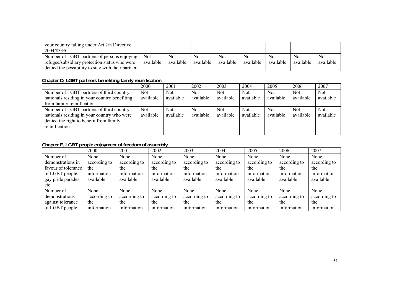| your country falling under Art 2/h Directive<br>2004/83/EC                                                                                        |                         |                  |                         |                  |                  |                         |                         |                         |
|---------------------------------------------------------------------------------------------------------------------------------------------------|-------------------------|------------------|-------------------------|------------------|------------------|-------------------------|-------------------------|-------------------------|
| Number of LGBT partners of persons enjoying<br>refugee/subsidiary protection status who were<br>denied the possibility to stay with their partner | <b>Not</b><br>available | Not<br>available | <b>Not</b><br>available | Not<br>available | Not<br>available | <b>Not</b><br>available | <b>Not</b><br>available | <b>Not</b><br>available |

### **Chapter D, LGBT partners benefiting family reunification**

|                                                                                                                                                     | 2000              | 2001                    | 2002              | 2003                    | 2004             | 2005              | 2006                    | 2007                    |
|-----------------------------------------------------------------------------------------------------------------------------------------------------|-------------------|-------------------------|-------------------|-------------------------|------------------|-------------------|-------------------------|-------------------------|
| Number of LGBT partners of third country<br>nationals residing in your country benefiting                                                           | Not.<br>available | <b>Not</b><br>available | Not.<br>available | <b>Not</b><br>available | Not<br>available | Not.<br>available | <b>Not</b><br>available | <b>Not</b><br>available |
| from family reunification.                                                                                                                          |                   |                         |                   |                         |                  |                   |                         |                         |
| Number of LGBT partners of third country<br>nationals residing in your country who were<br>denied the right to benefit from family<br>reunification | Not.<br>available | <b>Not</b><br>available | Not.<br>available | <b>Not</b><br>available | Not<br>available | Not.<br>available | <b>Not</b><br>available | <b>Not</b><br>available |

## **Chapter E, LGBT people enjoyment of freedom of assembly**

|                     | 2000         | 2001         | 2002         | 2003         | 2004         | 2005         | 2006         | 2007         |
|---------------------|--------------|--------------|--------------|--------------|--------------|--------------|--------------|--------------|
| Number of           | None,        | None.        | None.        | None,        | None,        | None,        | None.        | None,        |
| demonstrations in   | according to | according to | according to | according to | according to | according to | according to | according to |
| favour of tolerance | the          | the          | the          | the          | the          | the          | the          | the          |
| of LGBT people,     | information  | information  | information  | information  | information  | information  | information  | information  |
| gay pride parades,  | available    | available    | available    | available    | available    | available    | available    | available    |
| etc                 |              |              |              |              |              |              |              |              |
| Number of           | None.        | None,        | None,        | None,        | None,        | None,        | None,        | None,        |
| demonstrations      | according to | according to | according to | according to | according to | according to | according to | according to |
| against tolerance   | the          | the          | the          | the          | the          | the          | the          | the          |
| of LGBT people.     | information  | information  | information  | information  | information  | information  | information  | information  |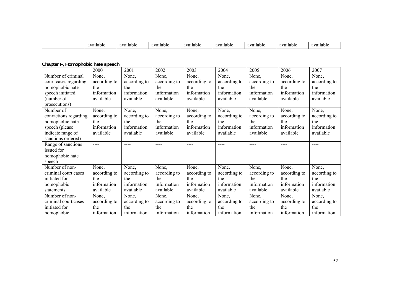| 0.7701<br>ailable | available | 91/9<br>ailable | ≇ailable<br>220 | . .<br>-availabiu | 01101<br>ailable? | $91/9$ <sup>*</sup><br>auabie | zailable<br>01101 |
|-------------------|-----------|-----------------|-----------------|-------------------|-------------------|-------------------------------|-------------------|

### **Chapter F, Homophobic hate speech**

|                       | 2000         | 2001          | 2002         | 2003         | 2004         | 2005         | 2006                       | 2007         |  |
|-----------------------|--------------|---------------|--------------|--------------|--------------|--------------|----------------------------|--------------|--|
| Number of criminal    | None,        | None,         | None,        | None,        | None,        | None,        | None,                      | None,        |  |
| court cases regarding | according to | according to  | according to | according to | according to | according to | according to               | according to |  |
| homophobic hate       | the          | the           | the          | the          | the          | the          | the                        | the          |  |
| speech initiated      | information  | information   | information  | information  | information  | information  | information                | information  |  |
| (number of            | available    | available     | available    | available    | available    | available    | available<br>available     |              |  |
| prosecutions)         |              |               |              |              |              |              |                            |              |  |
| Number of             | None,        | None,         | None,        | None,        | None,        | None,        | None,                      | None,        |  |
| convictions regarding | according to | according to  | according to | according to | according to | according to | according to               | according to |  |
| homophobic hate       | the          | the           | the          | the          | the          | the          | the                        | the          |  |
| speech (please        | information  | information   | information  | information  | information  | information  | information<br>information |              |  |
| indicate range of     | available    | available     | available    | available    | available    | available    | available                  | available    |  |
| sanctions ordered)    |              |               |              |              |              |              |                            |              |  |
| Range of sanctions    | $---$        | $\frac{1}{2}$ | ----         | ----         | $---$        | ----         | ----                       | ----         |  |
| issued for            |              |               |              |              |              |              |                            |              |  |
| homophobic hate       |              |               |              |              |              |              |                            |              |  |
| speech                |              |               |              |              |              |              |                            |              |  |
| Number of non-        | None,        | None,         | None,        | None,        | None,        | None,        | None,                      | None,        |  |
| criminal court cases  | according to | according to  | according to | according to | according to | according to | according to               | according to |  |
| initiated for         | the          | the           | the          | the          | the          | the          | the                        | the          |  |
| homophobic            | information  | information   | information  | information  | information  | information  | information                | information  |  |
| statements            | available    | available     | available    | available    | available    | available    | available                  | available    |  |
| Number of non-        | None,        | None,         | None,        | None,        | None,        | None,        | None,                      | None,        |  |
| criminal court cases  | according to | according to  | according to | according to | according to | according to | according to               | according to |  |
| initiated for         | the          | the           | the          | the          | the          | the          | the                        | the          |  |
| homophobic            | information  | information   | information  | information  | information  | information  | information                | information  |  |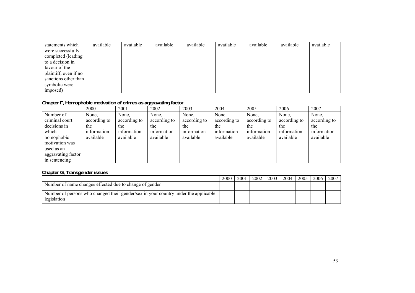| statements which      | available | available | available | available | available | available | available | available |
|-----------------------|-----------|-----------|-----------|-----------|-----------|-----------|-----------|-----------|
| were successfully     |           |           |           |           |           |           |           |           |
| completed (leading    |           |           |           |           |           |           |           |           |
| to a decision in      |           |           |           |           |           |           |           |           |
| favour of the         |           |           |           |           |           |           |           |           |
| plaintiff, even if no |           |           |           |           |           |           |           |           |
| sanctions other than  |           |           |           |           |           |           |           |           |
| symbolic were         |           |           |           |           |           |           |           |           |
| imposed)              |           |           |           |           |           |           |           |           |

### **Chapter F, Homophobic motivation of crimes as aggravating factor**

|                    |              |              | ັບ           |              |              |              |              |              |  |  |
|--------------------|--------------|--------------|--------------|--------------|--------------|--------------|--------------|--------------|--|--|
|                    | 2000         | 2001         | 2002         | 2003         | 2004         | 2005         | 2006         | 2007         |  |  |
| Number of          | None,        | None,        | None,        | None,        | None,        | None,        | None,        | None,        |  |  |
| criminal court     | according to | according to | according to | according to | according to | according to | according to | according to |  |  |
| decisions in       | the          | the          | the          | the          | the          | the          | the          | the          |  |  |
| which              | information  | information  | information  | information  | information  | information  | information  | information  |  |  |
| homophobic         | available    | available    | available    | available    | available    | available    | available    | available    |  |  |
| motivation was     |              |              |              |              |              |              |              |              |  |  |
| used as an         |              |              |              |              |              |              |              |              |  |  |
| aggravating factor |              |              |              |              |              |              |              |              |  |  |
| in sentencing      |              |              |              |              |              |              |              |              |  |  |

### **Chapter G, Transgender issues**

|                                                                                                    | 2000 | 2001 | 2002 | 2003 | 2004 | 2005 | 2006 | 2007 |
|----------------------------------------------------------------------------------------------------|------|------|------|------|------|------|------|------|
| Number of name changes effected due to change of gender                                            |      |      |      |      |      |      |      |      |
| Number of persons who changed their gender/sex in your country under the applicable<br>legislation |      |      |      |      |      |      |      |      |